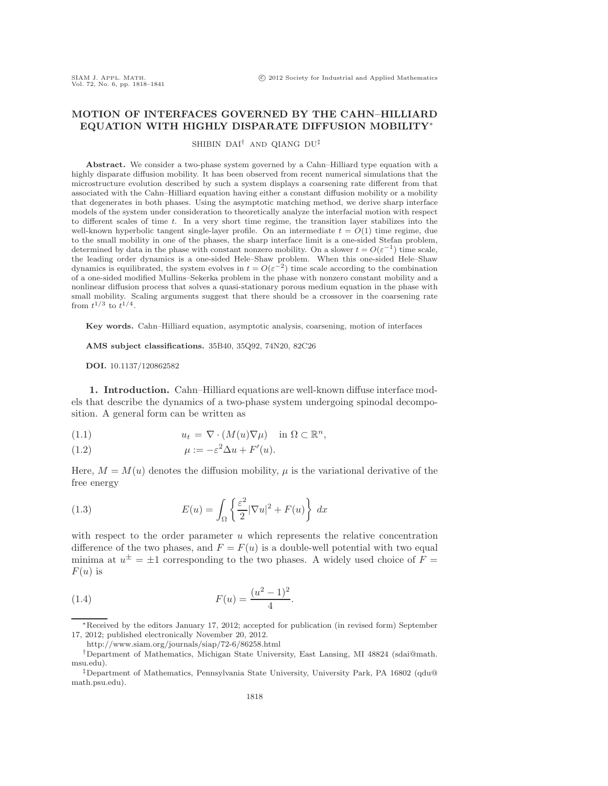## **MOTION OF INTERFACES GOVERNED BY THE CAHN–HILLIARD EQUATION WITH HIGHLY DISPARATE DIFFUSION MOBILITY**∗

SHIBIN DAI† AND QIANG DU‡

**Abstract.** We consider a two-phase system governed by a Cahn–Hilliard type equation with a highly disparate diffusion mobility. It has been observed from recent numerical simulations that the microstructure evolution described by such a system displays a coarsening rate different from that associated with the Cahn–Hilliard equation having either a constant diffusion mobility or a mobility that degenerates in both phases. Using the asymptotic matching method, we derive sharp interface models of the system under consideration to theoretically analyze the interfacial motion with respect to different scales of time t. In a very short time regime, the transition layer stabilizes into the well-known hyperbolic tangent single-layer profile. On an intermediate  $t = O(1)$  time regime, due to the small mobility in one of the phases, the sharp interface limit is a one-sided Stefan problem, determined by data in the phase with constant nonzero mobility. On a slower  $t = O(\varepsilon^{-1})$  time scale, the leading order dynamics is a one-sided Hele–Shaw problem. When this one-sided Hele–Shaw dynamics is equilibrated, the system evolves in  $t = O(\varepsilon^{-2})$  time scale according to the combination of a one-sided modified Mullins–Sekerka problem in the phase with nonzero constant mobility and a nonlinear diffusion process that solves a quasi-stationary porous medium equation in the phase with small mobility. Scaling arguments suggest that there should be a crossover in the coarsening rate from  $t^{1/3}$  to  $t^{1/4}$ .

**Key words.** Cahn–Hilliard equation, asymptotic analysis, coarsening, motion of interfaces

**AMS subject classifications.** 35B40, 35Q92, 74N20, 82C26

**DOI.** 10.1137/120862582

**1. Introduction.** Cahn–Hilliard equations are well-known diffuse interface models that describe the dynamics of a two-phase system undergoing spinodal decomposition. A general form can be written as

(1.1) 
$$
u_t = \nabla \cdot (M(u)\nabla \mu) \quad \text{in } \Omega \subset \mathbb{R}^n,
$$

(1.2) 
$$
\mu := -\varepsilon^2 \Delta u + F'(u).
$$

Here,  $M = M(u)$  denotes the diffusion mobility,  $\mu$  is the variational derivative of the free energy

(1.3) 
$$
E(u) = \int_{\Omega} \left\{ \frac{\varepsilon^2}{2} |\nabla u|^2 + F(u) \right\} dx
$$

with respect to the order parameter  $u$  which represents the relative concentration difference of the two phases, and  $F = F(u)$  is a double-well potential with two equal minima at  $u^{\pm} = \pm 1$  corresponding to the two phases. A widely used choice of  $F =$  $F(u)$  is

(1.4) 
$$
F(u) = \frac{(u^2 - 1)^2}{4}.
$$

∗Received by the editors January 17, 2012; accepted for publication (in revised form) September 17, 2012; published electronically November 20, 2012.

http://www.siam.org/journals/siap/72-6/86258.html

<sup>†</sup>Department of Mathematics, Michigan State University, East Lansing, MI 48824 (sdai@math. msu.edu).

<sup>‡</sup>Department of Mathematics, Pennsylvania State University, University Park, PA 16802 (qdu@ math.psu.edu).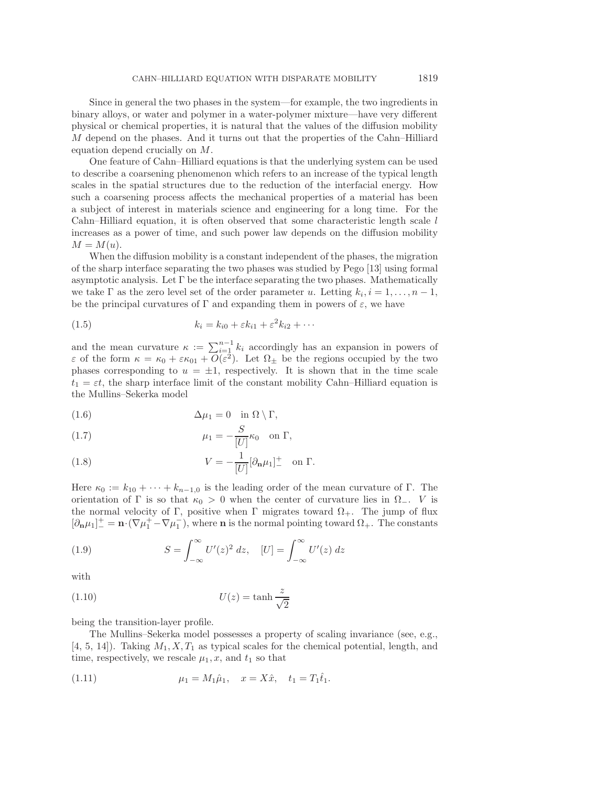Since in general the two phases in the system—for example, the two ingredients in binary alloys, or water and polymer in a water-polymer mixture—have very different physical or chemical properties, it is natural that the values of the diffusion mobility M depend on the phases. And it turns out that the properties of the Cahn–Hilliard equation depend crucially on M.

One feature of Cahn–Hilliard equations is that the underlying system can be used to describe a coarsening phenomenon which refers to an increase of the typical length scales in the spatial structures due to the reduction of the interfacial energy. How such a coarsening process affects the mechanical properties of a material has been a subject of interest in materials science and engineering for a long time. For the Cahn–Hilliard equation, it is often observed that some characteristic length scale  $l$ increases as a power of time, and such power law depends on the diffusion mobility  $M = M(u)$ .

When the diffusion mobility is a constant independent of the phases, the migration of the sharp interface separating the two phases was studied by Pego [13] using formal asymptotic analysis. Let Γ be the interface separating the two phases. Mathematically we take  $\Gamma$  as the zero level set of the order parameter u. Letting  $k_i, i = 1, \ldots, n-1$ , be the principal curvatures of  $\Gamma$  and expanding them in powers of  $\varepsilon$ , we have

$$
(1.5) \t\t k_i = k_{i0} + \varepsilon k_{i1} + \varepsilon^2 k_{i2} + \cdots
$$

and the mean curvature  $\kappa := \sum_{i=1}^{n-1} k_i$  accordingly has an expansion in powers of  $\varepsilon$  of the form  $\kappa = \kappa_0 + \varepsilon \kappa_{01} + \overline{O}(\overline{\varepsilon}^2)$ . Let  $\Omega_{\pm}$  be the regions occupied by the two phases corresponding to  $u = \pm 1$ , respectively. It is shown that in the time scale  $t_1 = \varepsilon t$ , the sharp interface limit of the constant mobility Cahn–Hilliard equation is the Mullins–Sekerka model

(1.6) 
$$
\Delta \mu_1 = 0 \quad \text{in } \Omega \setminus \Gamma,
$$

(1.7) 
$$
\mu_1 = -\frac{S}{|U|} \kappa_0 \quad \text{on } \Gamma,
$$

(1.8) 
$$
V = -\frac{1}{|U|} [\partial_{\mathbf{n}} \mu_1]_{-}^{+} \text{ on } \Gamma.
$$

Here  $\kappa_0 := k_{10} + \cdots + k_{n-1,0}$  is the leading order of the mean curvature of Γ. The orientation of Γ is so that  $\kappa_0 > 0$  when the center of curvature lies in  $\Omega_-\,$ . V is the normal velocity of Γ, positive when Γ migrates toward  $\Omega_{+}$ . The jump of flux  $[\partial_{\bf n}\mu_1]^+ = {\bf n} \cdot (\nabla \mu_1^+ - \nabla \mu_1^-)$ , where **n** is the normal pointing toward  $\Omega_+$ . The constants

(1.9) 
$$
S = \int_{-\infty}^{\infty} U'(z)^2 dz, \quad [U] = \int_{-\infty}^{\infty} U'(z) dz
$$

with

(1.10) 
$$
U(z) = \tanh \frac{z}{\sqrt{2}}
$$

being the transition-layer profile.

The Mullins–Sekerka model possesses a property of scaling invariance (see, e.g.,  $[4, 5, 14]$ . Taking  $M_1, X, T_1$  as typical scales for the chemical potential, length, and time, respectively, we rescale  $\mu_1, x$ , and  $t_1$  so that

(1.11) 
$$
\mu_1 = M_1 \hat{\mu}_1, \quad x = X \hat{x}, \quad t_1 = T_1 \hat{t}_1.
$$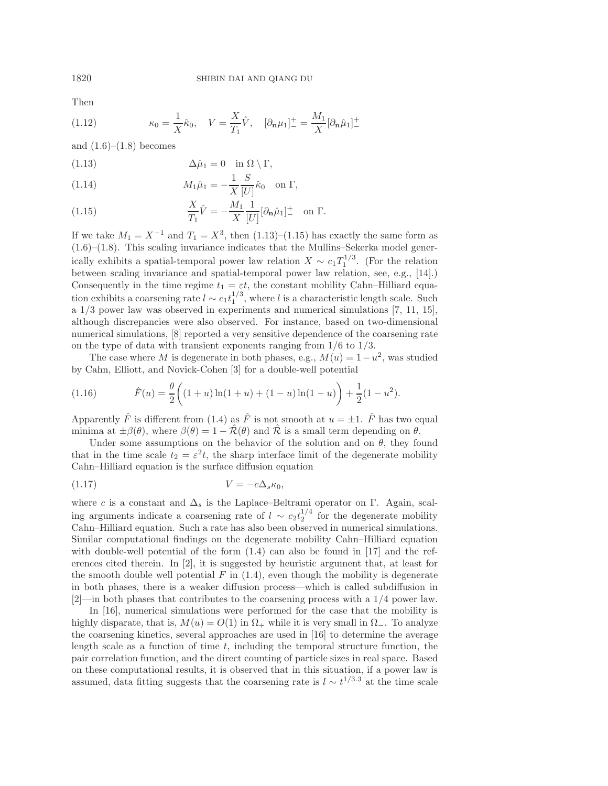Then

(1.12) 
$$
\kappa_0 = \frac{1}{X}\hat{\kappa}_0, \quad V = \frac{X}{T_1}\hat{V}, \quad [\partial_{\mathbf{n}}\mu_1]_-^+ = \frac{M_1}{X}[\partial_{\mathbf{n}}\hat{\mu}_1]_-^+
$$

and  $(1.6)$ – $(1.8)$  becomes

(1.13) 
$$
\Delta \hat{\mu}_1 = 0 \quad \text{in } \Omega \setminus \Gamma,
$$

(1.14) 
$$
M_1 \hat{\mu}_1 = -\frac{1}{X} \frac{S}{[U]} \hat{\kappa}_0 \text{ on } \Gamma,
$$

(1.15) 
$$
\frac{X}{T_1}\hat{V} = -\frac{M_1}{X}\frac{1}{[U]}[\partial_{\mathbf{n}}\hat{\mu}_1]_{-}^{+} \text{ on } \Gamma.
$$

If we take  $M_1 = X^{-1}$  and  $T_1 = X^3$ , then (1.13)–(1.15) has exactly the same form as (1.6)–(1.8). This scaling invariance indicates that the Mullins–Sekerka model generically exhibits a spatial-temporal power law relation  $X \sim c_1 T_1^{1/3}$ . (For the relation between scaling invariance and spatial-temporal power law relation, see, e.g., [14].) Consequently in the time regime  $t_1 = \varepsilon t$ , the constant mobility Cahn–Hilliard equation exhibits a coarsening rate  $l \sim c_1 t_1^{1/3}$ , where l is a characteristic length scale. Such a 1/3 power law was observed in experiments and numerical simulations [7, 11, 15], although discrepancies were also observed. For instance, based on two-dimensional numerical simulations, [8] reported a very sensitive dependence of the coarsening rate on the type of data with transient exponents ranging from  $1/6$  to  $1/3$ .

The case where M is degenerate in both phases, e.g.,  $M(u)=1-u^2$ , was studied by Cahn, Elliott, and Novick-Cohen [3] for a double-well potential

(1.16) 
$$
\hat{F}(u) = \frac{\theta}{2} \left( (1+u) \ln(1+u) + (1-u) \ln(1-u) \right) + \frac{1}{2} (1-u^2).
$$

Apparently  $\hat{F}$  is different from (1.4) as  $\hat{F}$  is not smooth at  $u = \pm 1$ .  $\hat{F}$  has two equal minima at  $\pm \beta(\theta)$ , where  $\beta(\theta)=1 - \hat{\mathcal{R}}(\theta)$  and  $\hat{\mathcal{R}}$  is a small term depending on  $\theta$ .

Under some assumptions on the behavior of the solution and on  $\theta$ , they found that in the time scale  $t_2 = \varepsilon^2 t$ , the sharp interface limit of the degenerate mobility Cahn–Hilliard equation is the surface diffusion equation

$$
(1.17) \t\t V = -c\Delta_s \kappa_0,
$$

where c is a constant and  $\Delta_s$  is the Laplace–Beltrami operator on Γ. Again, scaling arguments indicate a coarsening rate of  $l \sim c_2 t_2^{1/4}$  for the degenerate mobility Cahn–Hilliard equation. Such a rate has also been observed in numerical simulations. Similar computational findings on the degenerate mobility Cahn–Hilliard equation with double-well potential of the form  $(1.4)$  can also be found in  $[17]$  and the references cited therein. In [2], it is suggested by heuristic argument that, at least for the smooth double well potential  $F$  in  $(1.4)$ , even though the mobility is degenerate in both phases, there is a weaker diffusion process—which is called subdiffusion in [2]—in both phases that contributes to the coarsening process with a 1/4 power law.

In [16], numerical simulations were performed for the case that the mobility is highly disparate, that is,  $M(u) = O(1)$  in  $\Omega_+$  while it is very small in  $\Omega_-$ . To analyze the coarsening kinetics, several approaches are used in [16] to determine the average length scale as a function of time  $t$ , including the temporal structure function, the pair correlation function, and the direct counting of particle sizes in real space. Based on these computational results, it is observed that in this situation, if a power law is assumed, data fitting suggests that the coarsening rate is  $l \sim t^{1/3.3}$  at the time scale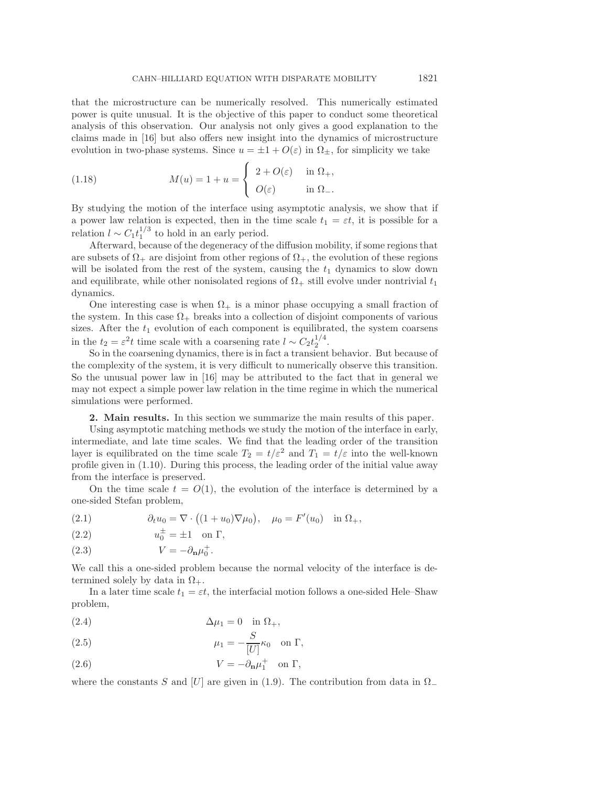that the microstructure can be numerically resolved. This numerically estimated power is quite unusual. It is the objective of this paper to conduct some theoretical analysis of this observation. Our analysis not only gives a good explanation to the claims made in [16] but also offers new insight into the dynamics of microstructure evolution in two-phase systems. Since  $u = \pm 1 + O(\varepsilon)$  in  $\Omega_{\pm}$ , for simplicity we take

(1.18) 
$$
M(u) = 1 + u = \begin{cases} 2 + O(\varepsilon) & \text{in } \Omega_+, \\ O(\varepsilon) & \text{in } \Omega_-. \end{cases}
$$

By studying the motion of the interface using asymptotic analysis, we show that if a power law relation is expected, then in the time scale  $t_1 = \varepsilon t$ , it is possible for a relation  $l \sim C_1 t_1^{1/3}$  to hold in an early period.

Afterward, because of the degeneracy of the diffusion mobility, if some regions that are subsets of  $\Omega_+$  are disjoint from other regions of  $\Omega_+$ , the evolution of these regions will be isolated from the rest of the system, causing the  $t_1$  dynamics to slow down and equilibrate, while other nonisolated regions of  $\Omega_{+}$  still evolve under nontrivial  $t_1$ dynamics.

One interesting case is when  $\Omega_{+}$  is a minor phase occupying a small fraction of the system. In this case  $\Omega_{+}$  breaks into a collection of disjoint components of various sizes. After the  $t_1$  evolution of each component is equilibrated, the system coarsens in the  $t_2 = \varepsilon^2 t$  time scale with a coarsening rate  $l \sim C_2 t_2^{1/4}$ .

So in the coarsening dynamics, there is in fact a transient behavior. But because of the complexity of the system, it is very difficult to numerically observe this transition. So the unusual power law in [16] may be attributed to the fact that in general we may not expect a simple power law relation in the time regime in which the numerical simulations were performed.

**2. Main results.** In this section we summarize the main results of this paper.

Using asymptotic matching methods we study the motion of the interface in early, intermediate, and late time scales. We find that the leading order of the transition layer is equilibrated on the time scale  $T_2 = t/\varepsilon^2$  and  $T_1 = t/\varepsilon$  into the well-known profile given in (1.10). During this process, the leading order of the initial value away from the interface is preserved.

On the time scale  $t = O(1)$ , the evolution of the interface is determined by a one-sided Stefan problem,

(2.1) 
$$
\partial_t u_0 = \nabla \cdot ((1 + u_0) \nabla \mu_0), \quad \mu_0 = F'(u_0) \text{ in } \Omega_+,
$$

(2.2)  $u_0^{\pm} = \pm 1$  on  $\Gamma$ ,

(2.3) 
$$
V = -\partial_{\mathbf{n}}\mu_0^+.
$$

We call this a one-sided problem because the normal velocity of the interface is determined solely by data in  $\Omega_{+}$ .

In a later time scale  $t_1 = \varepsilon t$ , the interfacial motion follows a one-sided Hele–Shaw problem,

$$
\Delta \mu_1 = 0 \quad \text{in } \Omega_+,
$$

(2.5) 
$$
\mu_1 = -\frac{S}{[U]} \kappa_0 \quad \text{on } \Gamma,
$$

(2.6) 
$$
V = -\partial_{\mathbf{n}}\mu_1^+ \quad \text{on } \Gamma,
$$

where the constants S and [U] are given in (1.9). The contribution from data in  $\Omega$ <sub>−</sub>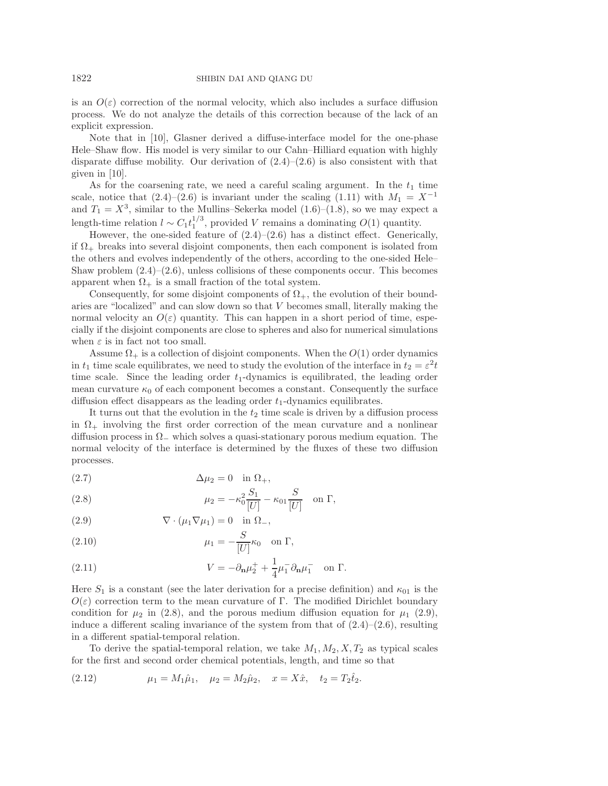is an  $O(\varepsilon)$  correction of the normal velocity, which also includes a surface diffusion process. We do not analyze the details of this correction because of the lack of an explicit expression.

Note that in [10], Glasner derived a diffuse-interface model for the one-phase Hele–Shaw flow. His model is very similar to our Cahn–Hilliard equation with highly disparate diffuse mobility. Our derivation of  $(2.4)$ – $(2.6)$  is also consistent with that given in [10].

As for the coarsening rate, we need a careful scaling argument. In the  $t_1$  time scale, notice that  $(2.4)–(2.6)$  is invariant under the scaling  $(1.11)$  with  $M_1 = X^{-1}$ and  $T_1 = X^3$ , similar to the Mullins–Sekerka model (1.6)–(1.8), so we may expect a length-time relation  $l \sim C_1 t_1^{1/3}$ , provided V remains a dominating  $O(1)$  quantity.

However, the one-sided feature of  $(2.4)$ – $(2.6)$  has a distinct effect. Generically, if  $\Omega_{+}$  breaks into several disjoint components, then each component is isolated from the others and evolves independently of the others, according to the one-sided Hele– Shaw problem  $(2.4)$ – $(2.6)$ , unless collisions of these components occur. This becomes apparent when  $\Omega_+$  is a small fraction of the total system.

Consequently, for some disjoint components of  $\Omega_{+}$ , the evolution of their boundaries are "localized" and can slow down so that V becomes small, literally making the normal velocity an  $O(\varepsilon)$  quantity. This can happen in a short period of time, especially if the disjoint components are close to spheres and also for numerical simulations when  $\varepsilon$  is in fact not too small.

Assume  $\Omega_{+}$  is a collection of disjoint components. When the  $O(1)$  order dynamics in  $t_1$  time scale equilibrates, we need to study the evolution of the interface in  $t_2 = \varepsilon^2 t$ time scale. Since the leading order  $t_1$ -dynamics is equilibrated, the leading order mean curvature  $\kappa_0$  of each component becomes a constant. Consequently the surface diffusion effect disappears as the leading order  $t_1$ -dynamics equilibrates.

It turns out that the evolution in the  $t_2$  time scale is driven by a diffusion process in  $\Omega_{+}$  involving the first order correction of the mean curvature and a nonlinear diffusion process in  $\Omega$ <sub>−</sub> which solves a quasi-stationary porous medium equation. The normal velocity of the interface is determined by the fluxes of these two diffusion processes.

$$
(2.7) \t\t \t\t \Delta\mu_2 = 0 \t\t \text{in } \Omega_+,
$$

(2.8) 
$$
\mu_2 = -\kappa_0^2 \frac{S_1}{[U]} - \kappa_{01} \frac{S}{[U]} \text{ on } \Gamma,
$$

(2.9) 
$$
\nabla \cdot (\mu_1 \nabla \mu_1) = 0 \text{ in } \Omega_-,
$$

(2.10) 
$$
\mu_1 = -\frac{S}{[U]} \kappa_0 \quad \text{on } \Gamma,
$$

(2.11) 
$$
V = -\partial_{\mathbf{n}}\mu_2^+ + \frac{1}{4}\mu_1^- \partial_{\mathbf{n}}\mu_1^- \text{ on } \Gamma.
$$

Here  $S_1$  is a constant (see the later derivation for a precise definition) and  $\kappa_{01}$  is the  $O(\varepsilon)$  correction term to the mean curvature of Γ. The modified Dirichlet boundary condition for  $\mu_2$  in (2.8), and the porous medium diffusion equation for  $\mu_1$  (2.9), induce a different scaling invariance of the system from that of  $(2.4)$ – $(2.6)$ , resulting in a different spatial-temporal relation.

To derive the spatial-temporal relation, we take  $M_1, M_2, X, T_2$  as typical scales for the first and second order chemical potentials, length, and time so that

(2.12) 
$$
\mu_1 = M_1 \hat{\mu}_1, \quad \mu_2 = M_2 \hat{\mu}_2, \quad x = X \hat{x}, \quad t_2 = T_2 \hat{t}_2.
$$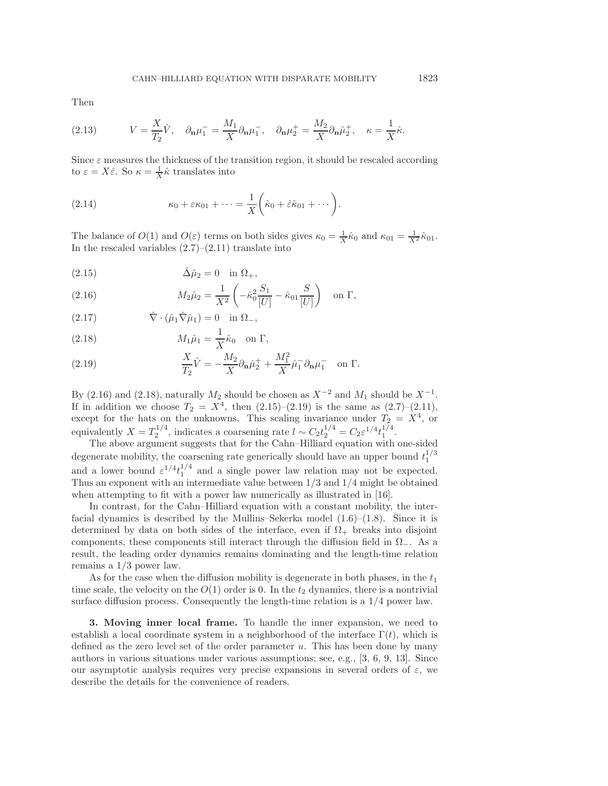Then

(2.13) 
$$
V = \frac{X}{T_2}\hat{V}, \quad \partial_{\mathbf{n}}\mu_1^- = \frac{M_1}{X}\partial_{\mathbf{n}}\mu_1^-, \quad \partial_{\mathbf{n}}\mu_2^+ = \frac{M_2}{X}\partial_{\mathbf{n}}\hat{\mu}_2^+, \quad \kappa = \frac{1}{X}\hat{\kappa}.
$$

Since  $\varepsilon$  measures the thickness of the transition region, it should be rescaled according to  $\varepsilon = X\hat{\varepsilon}$ . So  $\kappa = \frac{1}{X}\hat{\kappa}$  translates into

(2.14) 
$$
\kappa_0 + \varepsilon \kappa_{01} + \cdots = \frac{1}{X} \left( \hat{\kappa}_0 + \hat{\varepsilon} \hat{\kappa}_{01} + \cdots \right).
$$

The balance of  $O(1)$  and  $O(\varepsilon)$  terms on both sides gives  $\kappa_0 = \frac{1}{X}\hat{\kappa}_0$  and  $\kappa_{01} = \frac{1}{X^2}\hat{\kappa}_{01}$ . In the rescaled variables  $(2.7)$ – $(2.11)$  translate into

$$
(2.15) \qquad \qquad \hat{\Delta}\hat{\mu}_2 = 0 \quad \text{in } \Omega_+,
$$

(2.16) 
$$
M_2 \hat{\mu}_2 = \frac{1}{X^2} \left( -\hat{\kappa}_0^2 \frac{S_1}{[U]} - \hat{\kappa}_{01} \frac{S}{[U]} \right) \text{ on } \Gamma,
$$

(2.17)  $\hat{\nabla} \cdot (\hat{\mu}_1 \hat{\nabla} \hat{\mu}_1) = 0 \text{ in } \Omega_-,$ 

(2.18) 
$$
M_1 \hat{\mu}_1 = \frac{1}{X} \hat{\kappa}_0 \quad \text{on } \Gamma,
$$

(2.19) 
$$
\frac{X}{T_2}\hat{V} = -\frac{M_2}{X}\partial_{\mathbf{n}}\hat{\mu}_2^+ + \frac{M_1^2}{X}\hat{\mu}_1^- \partial_{\mathbf{n}}\mu_1^- \text{ on } \Gamma.
$$

By (2.16) and (2.18), naturally  $M_2$  should be chosen as  $X^{-2}$  and  $M_1$  should be  $X^{-1}$ . If in addition we choose  $T_2 = X^4$ , then  $(2.15)-(2.19)$  is the same as  $(2.7)-(2.11)$ , except for the hats on the unknowns. This scaling invariance under  $T_2 = X^4$ , or equivalently  $X = T_2^{1/4}$ , indicates a coarsening rate  $l \sim C_2 t_2^{1/4} = C_2 \varepsilon^{1/4} t_1^{1/4}$ .

The above argument suggests that for the Cahn–Hilliard equation with one-sided degenerate mobility, the coarsening rate generically should have an upper bound  $t_1^{1/3}$ and a lower bound  $\varepsilon^{1/4} t_1^{1/4}$  and a single power law relation may not be expected. Thus an exponent with an intermediate value between 1/3 and 1/4 might be obtained when attempting to fit with a power law numerically as illustrated in [16].

In contrast, for the Cahn–Hilliard equation with a constant mobility, the interfacial dynamics is described by the Mullins–Sekerka model  $(1.6)$ – $(1.8)$ . Since it is determined by data on both sides of the interface, even if  $\Omega_{+}$  breaks into disjoint components, these components still interact through the diffusion field in  $\Omega_-\$ . As a result, the leading order dynamics remains dominating and the length-time relation remains a 1/3 power law.

As for the case when the diffusion mobility is degenerate in both phases, in the  $t_1$ time scale, the velocity on the  $O(1)$  order is 0. In the  $t_2$  dynamics, there is a nontrivial surface diffusion process. Consequently the length-time relation is a 1/4 power law.

**3. Moving inner local frame.** To handle the inner expansion, we need to establish a local coordinate system in a neighborhood of the interface  $\Gamma(t)$ , which is defined as the zero level set of the order parameter  $u$ . This has been done by many authors in various situations under various assumptions; see, e.g., [3, 6, 9, 13]. Since our asymptotic analysis requires very precise expansions in several orders of  $\varepsilon$ , we describe the details for the convenience of readers.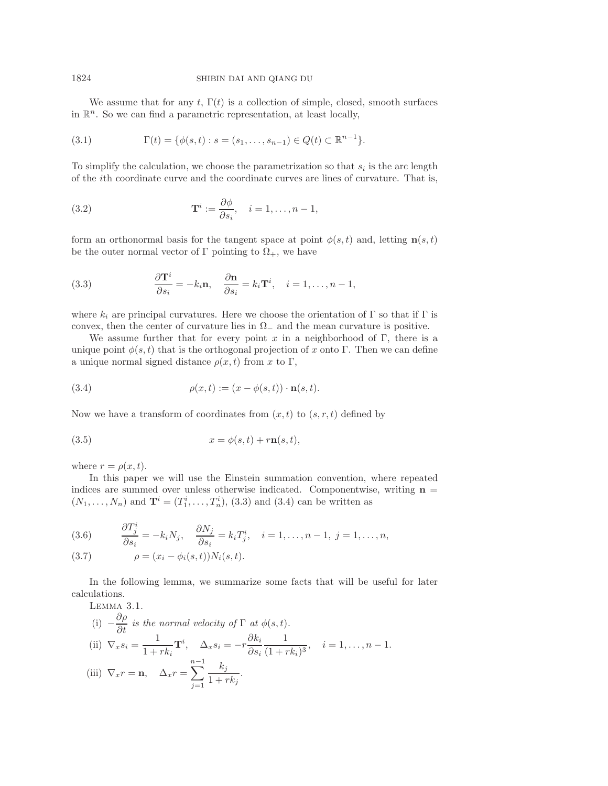We assume that for any t,  $\Gamma(t)$  is a collection of simple, closed, smooth surfaces in  $\mathbb{R}^n$ . So we can find a parametric representation, at least locally,

(3.1) 
$$
\Gamma(t) = \{ \phi(s, t) : s = (s_1, \dots, s_{n-1}) \in Q(t) \subset \mathbb{R}^{n-1} \}.
$$

To simplify the calculation, we choose the parametrization so that  $s_i$  is the arc length of the ith coordinate curve and the coordinate curves are lines of curvature. That is,

(3.2) 
$$
\mathbf{T}^{i} := \frac{\partial \phi}{\partial s_{i}}, \quad i = 1, \dots, n-1,
$$

form an orthonormal basis for the tangent space at point  $\phi(s,t)$  and, letting **n** $(s,t)$ be the outer normal vector of  $\Gamma$  pointing to  $\Omega_{+}$ , we have

(3.3) 
$$
\frac{\partial \mathbf{T}^i}{\partial s_i} = -k_i \mathbf{n}, \quad \frac{\partial \mathbf{n}}{\partial s_i} = k_i \mathbf{T}^i, \quad i = 1, \dots, n-1,
$$

where  $k_i$  are principal curvatures. Here we choose the orientation of  $\Gamma$  so that if  $\Gamma$  is convex, then the center of curvature lies in  $\Omega_{-}$  and the mean curvature is positive.

We assume further that for every point x in a neighborhood of  $\Gamma$ , there is a unique point  $\phi(s,t)$  that is the orthogonal projection of x onto Γ. Then we can define a unique normal signed distance  $\rho(x, t)$  from x to Γ,

(3.4) 
$$
\rho(x,t) := (x - \phi(s,t)) \cdot \mathbf{n}(s,t).
$$

Now we have a transform of coordinates from  $(x, t)$  to  $(s, r, t)$  defined by

$$
(3.5) \t\t x = \phi(s, t) + r\mathbf{n}(s, t),
$$

where  $r = \rho(x, t)$ .

In this paper we will use the Einstein summation convention, where repeated indices are summed over unless otherwise indicated. Componentwise, writing  $n =$  $(N_1, ..., N_n)$  and  $\mathbf{T}^i = (T_1^i, ..., T_n^i)$ , (3.3) and (3.4) can be written as

(3.6) 
$$
\frac{\partial T_j^i}{\partial s_i} = -k_i N_j, \quad \frac{\partial N_j}{\partial s_i} = k_i T_j^i, \quad i = 1, \dots, n-1, \ j = 1, \dots, n,
$$

(3.7) 
$$
\rho = (x_i - \phi_i(s, t))N_i(s, t).
$$

In the following lemma, we summarize some facts that will be useful for later calculations.

LEMMA 3.1.  
\n(i) 
$$
-\frac{\partial \rho}{\partial t}
$$
 is the normal velocity of  $\Gamma$  at  $\phi(s, t)$ .  
\n(ii)  $\nabla_x s_i = \frac{1}{1 + rk_i} \mathbf{T}^i$ ,  $\Delta_x s_i = -r \frac{\partial k_i}{\partial s_i} \frac{1}{(1 + rk_i)^3}$ ,  $i = 1, ..., n - 1$ .  
\n(iii)  $\nabla_x r = \mathbf{n}$ ,  $\Delta_x r = \sum_{j=1}^{n-1} \frac{k_j}{1 + rk_j}$ .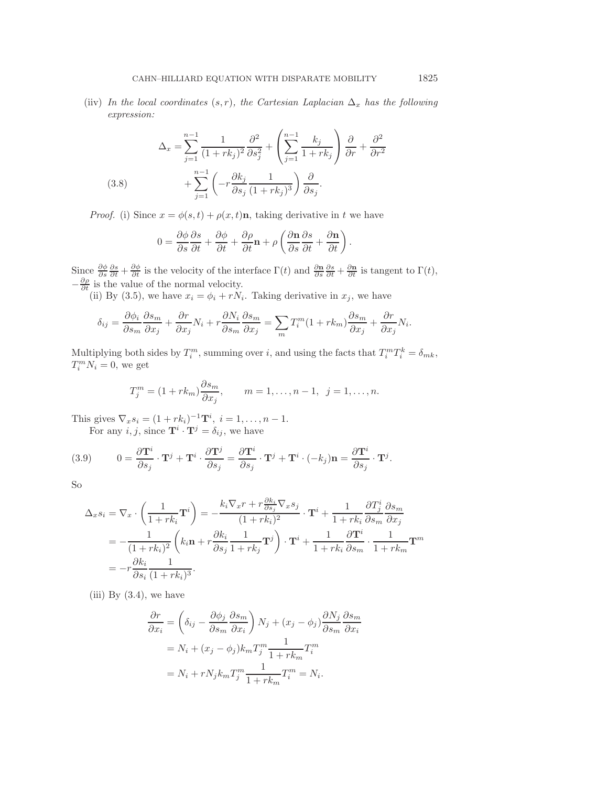(iiv) *In the local coordinates*  $(s, r)$ *, the Cartesian Laplacian*  $\Delta_x$  *has the following expression:*

(3.8) 
$$
\Delta_x = \sum_{j=1}^{n-1} \frac{1}{(1+rk_j)^2} \frac{\partial^2}{\partial s_j^2} + \left(\sum_{j=1}^{n-1} \frac{k_j}{1+rk_j}\right) \frac{\partial}{\partial r} + \frac{\partial^2}{\partial r^2} + \sum_{j=1}^{n-1} \left(-r \frac{\partial k_j}{\partial s_j} \frac{1}{(1+rk_j)^3}\right) \frac{\partial}{\partial s_j}.
$$

*Proof.* (i) Since  $x = \phi(s, t) + \rho(x, t)$ **n**, taking derivative in t we have

$$
0 = \frac{\partial \phi}{\partial s} \frac{\partial s}{\partial t} + \frac{\partial \phi}{\partial t} + \frac{\partial \rho}{\partial t} \mathbf{n} + \rho \left( \frac{\partial \mathbf{n}}{\partial s} \frac{\partial s}{\partial t} + \frac{\partial \mathbf{n}}{\partial t} \right).
$$

Since  $\frac{\partial \phi}{\partial s} \frac{\partial s}{\partial t} + \frac{\partial \phi}{\partial t}$  is the velocity of the interface  $\Gamma(t)$  and  $\frac{\partial \mathbf{n}}{\partial s} \frac{\partial s}{\partial t} + \frac{\partial \mathbf{n}}{\partial t}$  is tangent to  $\Gamma(t)$ ,  $-\frac{\partial \rho}{\partial t}$  is the value of the normal velocity.

(ii) By (3.5), we have  $x_i = \phi_i + rN_i$ . Taking derivative in  $x_j$ , we have

$$
\delta_{ij} = \frac{\partial \phi_i}{\partial s_m} \frac{\partial s_m}{\partial x_j} + \frac{\partial r}{\partial x_j} N_i + r \frac{\partial N_i}{\partial s_m} \frac{\partial s_m}{\partial x_j} = \sum_m T_i^m (1 + rk_m) \frac{\partial s_m}{\partial x_j} + \frac{\partial r}{\partial x_j} N_i.
$$

Multiplying both sides by  $T_i^m$ , summing over i, and using the facts that  $T_i^m T_i^k = \delta_{mk}$ ,  $T_i^m N_i = 0$ , we get

$$
T_j^m = (1 + rk_m) \frac{\partial s_m}{\partial x_j}, \qquad m = 1, ..., n-1, \ \ j = 1, ..., n.
$$

This gives  $\nabla_x s_i = (1 + rk_i)^{-1} \mathbf{T}^i$ ,  $i = 1, ..., n - 1$ . For any  $i, j$ , since  $\mathbf{T}^i \cdot \mathbf{T}^j = \delta_{ij}$ , we have

(3.9) 
$$
0 = \frac{\partial \mathbf{T}^i}{\partial s_j} \cdot \mathbf{T}^j + \mathbf{T}^i \cdot \frac{\partial \mathbf{T}^j}{\partial s_j} = \frac{\partial \mathbf{T}^i}{\partial s_j} \cdot \mathbf{T}^j + \mathbf{T}^i \cdot (-k_j) \mathbf{n} = \frac{\partial \mathbf{T}^i}{\partial s_j} \cdot \mathbf{T}^j.
$$

So

$$
\Delta_x s_i = \nabla_x \cdot \left(\frac{1}{1 + rk_i} \mathbf{T}^i\right) = -\frac{k_i \nabla_x r + r \frac{\partial k_i}{\partial s_j} \nabla_x s_j}{(1 + rk_i)^2} \cdot \mathbf{T}^i + \frac{1}{1 + rk_i} \frac{\partial T^i_j}{\partial s_m} \frac{\partial s_m}{\partial x_j}
$$
  
= 
$$
-\frac{1}{(1 + rk_i)^2} \left(k_i \mathbf{n} + r \frac{\partial k_i}{\partial s_j} \frac{1}{1 + rk_j} \mathbf{T}^j\right) \cdot \mathbf{T}^i + \frac{1}{1 + rk_i} \frac{\partial \mathbf{T}^i}{\partial s_m} \cdot \frac{1}{1 + rk_m} \mathbf{T}^m
$$
  
= 
$$
-r \frac{\partial k_i}{\partial s_i} \frac{1}{(1 + rk_i)^3}.
$$

(iii) By  $(3.4)$ , we have

$$
\frac{\partial r}{\partial x_i} = \left(\delta_{ij} - \frac{\partial \phi_j}{\partial s_m} \frac{\partial s_m}{\partial x_i}\right) N_j + (x_j - \phi_j) \frac{\partial N_j}{\partial s_m} \frac{\partial s_m}{\partial x_i}
$$

$$
= N_i + (x_j - \phi_j) k_m T_j^m \frac{1}{1 + r k_m} T_i^m
$$

$$
= N_i + r N_j k_m T_j^m \frac{1}{1 + r k_m} T_i^m = N_i.
$$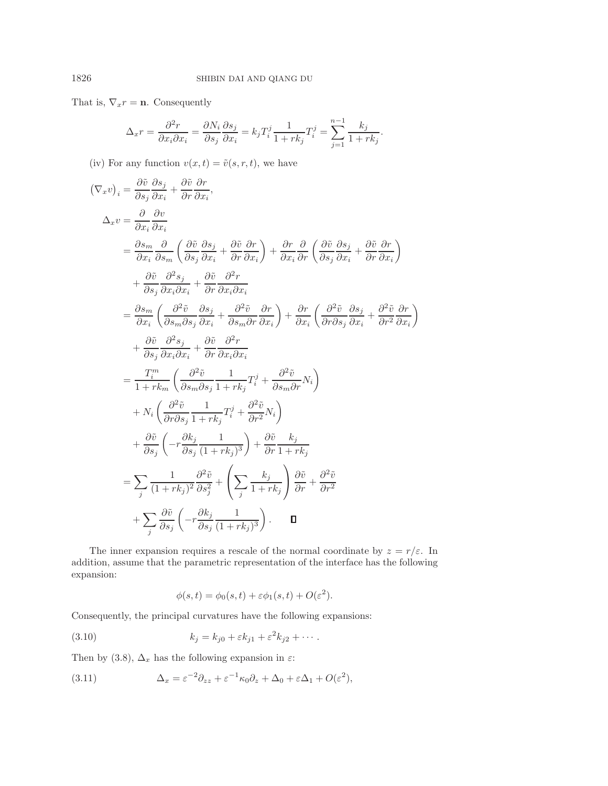That is,  $\nabla_x r = \mathbf{n}$ . Consequently

$$
\Delta_x r = \frac{\partial^2 r}{\partial x_i \partial x_i} = \frac{\partial N_i}{\partial s_j} \frac{\partial s_j}{\partial x_i} = k_j T_i^j \frac{1}{1 + r k_j} T_i^j = \sum_{j=1}^{n-1} \frac{k_j}{1 + r k_j}.
$$

(iv) For any function  $v(x, t) = \tilde{v}(s, r, t)$ , we have

$$
(\nabla_x v)_i = \frac{\partial \tilde{v}}{\partial s_j} \frac{\partial s_j}{\partial x_i} + \frac{\partial \tilde{v}}{\partial r} \frac{\partial r}{\partial x_i},
$$
  
\n
$$
\Delta_x v = \frac{\partial}{\partial x_i} \frac{\partial v}{\partial x_i}
$$
  
\n
$$
= \frac{\partial s_m}{\partial x_i} \frac{\partial}{\partial s_m} \left( \frac{\partial \tilde{v}}{\partial s_j} \frac{\partial s_j}{\partial x_i} + \frac{\partial \tilde{v}}{\partial r} \frac{\partial r}{\partial x_i} \right) + \frac{\partial r}{\partial x_i} \frac{\partial}{\partial r} \left( \frac{\partial \tilde{v}}{\partial s_j} \frac{\partial s_j}{\partial x_i} + \frac{\partial \tilde{v}}{\partial r} \frac{\partial r}{\partial x_i} \right)
$$
  
\n
$$
+ \frac{\partial \tilde{v}}{\partial s_j} \frac{\partial^2 s_j}{\partial x_i \partial x_i} + \frac{\partial \tilde{v}}{\partial r} \frac{\partial^2 r}{\partial x_i \partial x_i}
$$
  
\n
$$
= \frac{\partial s_m}{\partial x_i} \left( \frac{\partial^2 \tilde{v}}{\partial s_m \partial s_j} \frac{\partial s_j}{\partial x_i} + \frac{\partial^2 \tilde{v}}{\partial s_m \partial r} \frac{\partial r}{\partial x_i} \right) + \frac{\partial r}{\partial x_i} \left( \frac{\partial^2 \tilde{v}}{\partial r \partial s_j} \frac{\partial s_j}{\partial x_i} + \frac{\partial^2 \tilde{v}}{\partial r} \frac{\partial r}{\partial x_i} \right)
$$
  
\n
$$
+ \frac{\partial \tilde{v}}{\partial s_j} \frac{\partial^2 s_j}{\partial x_i \partial x_i} + \frac{\partial \tilde{v}}{\partial r} \frac{\partial^2 r}{\partial x_i \partial x_i}
$$
  
\n
$$
= \frac{T_i^m}{1 + r k_m} \left( \frac{\partial^2 \tilde{v}}{\partial s_m \partial s_j} \frac{1}{1 + r k_j} T_i^j + \frac{\partial^2 \tilde{v}}{\partial s_m \partial r} N_i \right)
$$
  
\n
$$
+ N_i \left( \frac{\partial^2 \tilde{v}}{\partial r \partial s_j} \frac{1}{1 + r k_j} T_i^j + \frac{\partial^2 \tilde{v}}{\partial r^2
$$

 $\setminus$ 

The inner expansion requires a rescale of the normal coordinate by  $z = r/\varepsilon$ . In addition, assume that the parametric representation of the interface has the following expansion:

$$
\phi(s,t) = \phi_0(s,t) + \varepsilon \phi_1(s,t) + O(\varepsilon^2).
$$

Consequently, the principal curvatures have the following expansions:

$$
(3.10) \t\t k_j = k_{j0} + \varepsilon k_{j1} + \varepsilon^2 k_{j2} + \cdots.
$$

Then by (3.8),  $\Delta_x$  has the following expansion in  $\varepsilon$ :

(3.11) 
$$
\Delta_x = \varepsilon^{-2} \partial_{zz} + \varepsilon^{-1} \kappa_0 \partial_z + \Delta_0 + \varepsilon \Delta_1 + O(\varepsilon^2),
$$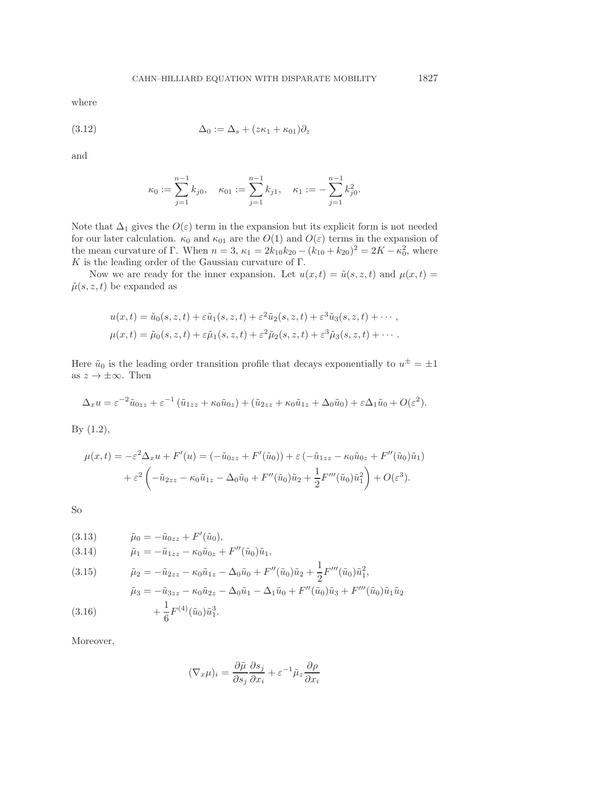where

(3.12) 
$$
\Delta_0 := \Delta_s + (z\kappa_1 + \kappa_{01})\partial_z
$$

and

$$
\kappa_0:=\sum_{j=1}^{n-1}k_{j0},\quad \kappa_{01}:=\sum_{j=1}^{n-1}k_{j1},\quad \kappa_1:=-\sum_{j=1}^{n-1}k_{j0}^2.
$$

Note that  $\Delta_1$  gives the  $O(\varepsilon)$  term in the expansion but its explicit form is not needed for our later calculation.  $\kappa_0$  and  $\kappa_{01}$  are the  $O(1)$  and  $O(\varepsilon)$  terms in the expansion of the mean curvature of Γ. When  $n = 3$ ,  $\kappa_1 = 2k_{10}k_{20} - (k_{10} + k_{20})^2 = 2K - \kappa_0^2$ , where K is the leading order of the Gaussian curvature of  $\Gamma$ .

Now we are ready for the inner expansion. Let  $u(x, t) = \tilde{u}(s, z, t)$  and  $\mu(x, t) =$  $\tilde{\mu}(s, z, t)$  be expanded as

$$
u(x,t) = \tilde{u}_0(s, z, t) + \varepsilon \tilde{u}_1(s, z, t) + \varepsilon^2 \tilde{u}_2(s, z, t) + \varepsilon^3 \tilde{u}_3(s, z, t) + \cdots,
$$
  

$$
\mu(x,t) = \tilde{\mu}_0(s, z, t) + \varepsilon \tilde{\mu}_1(s, z, t) + \varepsilon^2 \tilde{\mu}_2(s, z, t) + \varepsilon^3 \tilde{\mu}_3(s, z, t) + \cdots.
$$

Here  $\tilde{u}_0$  is the leading order transition profile that decays exponentially to  $u^{\pm} = \pm 1$ as  $z \to \pm \infty$ . Then

$$
\Delta_x u = \varepsilon^{-2} \tilde{u}_{0zz} + \varepsilon^{-1} \left( \tilde{u}_{1zz} + \kappa_0 \tilde{u}_{0z} \right) + \left( \tilde{u}_{2zz} + \kappa_0 \tilde{u}_{1z} + \Delta_0 \tilde{u}_0 \right) + \varepsilon \Delta_1 \tilde{u}_0 + O(\varepsilon^2).
$$

By (1.2),

$$
\mu(x,t) = -\varepsilon^2 \Delta_x u + F'(u) = (-\tilde{u}_{0zz} + F'(\tilde{u}_0)) + \varepsilon (-\tilde{u}_{1zz} - \kappa_0 \tilde{u}_{0z} + F''(\tilde{u}_0) \tilde{u}_1) + \varepsilon^2 \left( -\tilde{u}_{2zz} - \kappa_0 \tilde{u}_{1z} - \Delta_0 \tilde{u}_0 + F''(\tilde{u}_0) \tilde{u}_2 + \frac{1}{2} F'''(\tilde{u}_0) \tilde{u}_1^2 \right) + O(\varepsilon^3).
$$

So

(3.13) 
$$
\tilde{\mu}_0 = -\tilde{u}_{0zz} + F'(\tilde{u}_0), \n(3.14) \qquad \tilde{\mu}_1 = -\tilde{u}_{1zz} - \kappa_0 \tilde{u}_{0z} + F''(\tilde{u}_0)\tilde{u}_1,
$$

(3.15) 
$$
\tilde{\mu}_2 = -\tilde{u}_{2zz} - \kappa_0 \tilde{u}_{1z} - \Delta_0 \tilde{u}_0 + F''(\tilde{u}_0) \tilde{u}_2 + \frac{1}{2} F'''(\tilde{u}_0) \tilde{u}_1^2,
$$

$$
\tilde{\mu}_3 = -\tilde{u}_{3zz} - \kappa_0 \tilde{u}_{2z} - \Delta_0 \tilde{u}_1 - \Delta_1 \tilde{u}_0 + F''(\tilde{u}_0) \tilde{u}_3 + F'''(\tilde{u}_0) \tilde{u}_1 \tilde{u}_2
$$

$$
+ \frac{1}{6} F^{(4)}(\tilde{u}_0) \tilde{u}_1^3.
$$

Moreover,

$$
(\nabla_x \mu)_i = \frac{\partial \tilde{\mu}}{\partial s_j} \frac{\partial s_j}{\partial x_i} + \varepsilon^{-1} \tilde{\mu}_z \frac{\partial \rho}{\partial x_i}
$$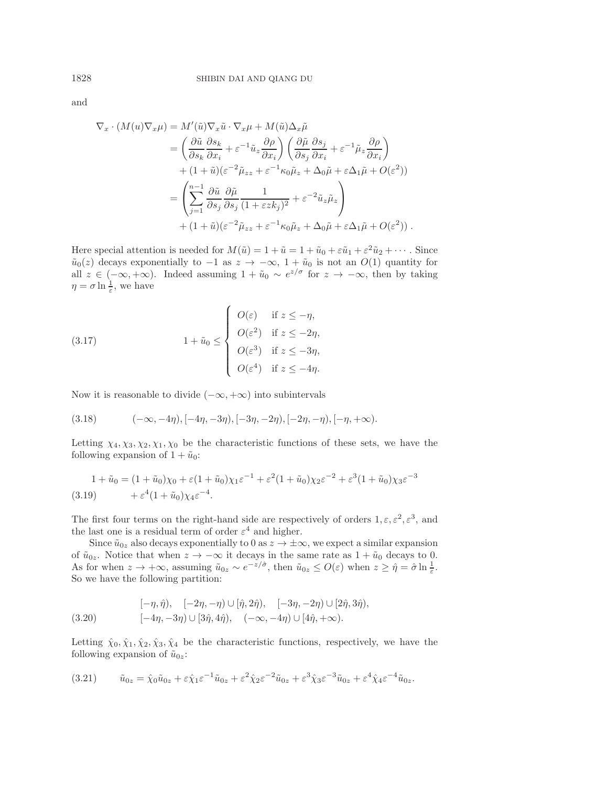and

$$
\nabla_x \cdot (M(u)\nabla_x \mu) = M'(\tilde{u})\nabla_x \tilde{u} \cdot \nabla_x \mu + M(\tilde{u})\Delta_x \tilde{\mu}
$$
  
\n
$$
= \left(\frac{\partial \tilde{u}}{\partial s_k} \frac{\partial s_k}{\partial x_i} + \varepsilon^{-1} \tilde{u}_z \frac{\partial \rho}{\partial x_i}\right) \left(\frac{\partial \tilde{\mu}}{\partial s_j} \frac{\partial s_j}{\partial x_i} + \varepsilon^{-1} \tilde{\mu}_z \frac{\partial \rho}{\partial x_i}\right)
$$
  
\n
$$
+ (1 + \tilde{u})(\varepsilon^{-2} \tilde{\mu}_{zz} + \varepsilon^{-1} \kappa_0 \tilde{\mu}_z + \Delta_0 \tilde{\mu} + \varepsilon \Delta_1 \tilde{\mu} + O(\varepsilon^2))
$$
  
\n
$$
= \left(\sum_{j=1}^{n-1} \frac{\partial \tilde{u}}{\partial s_j} \frac{\partial \tilde{\mu}}{\partial s_j} \frac{1}{(1 + \varepsilon z k_j)^2} + \varepsilon^{-2} \tilde{u}_z \tilde{\mu}_z\right)
$$
  
\n
$$
+ (1 + \tilde{u})(\varepsilon^{-2} \tilde{\mu}_{zz} + \varepsilon^{-1} \kappa_0 \tilde{\mu}_z + \Delta_0 \tilde{\mu} + \varepsilon \Delta_1 \tilde{\mu} + O(\varepsilon^2)).
$$

Here special attention is needed for  $M(\tilde{u})=1+\tilde{u}=1+\tilde{u}_0+\varepsilon\tilde{u}_1+\varepsilon^2\tilde{u}_2+\cdots$ . Since  $\tilde{u}_0(z)$  decays exponentially to  $-1$  as  $z \to -\infty$ ,  $1+\tilde{u}_0$  is not an  $O(1)$  quantity for all  $z \in (-\infty, +\infty)$ . Indeed assuming  $1 + \tilde{u}_0 \sim e^{z/\sigma}$  for  $z \to -\infty$ , then by taking  $\eta = \sigma \ln \frac{1}{\varepsilon}$ , we have

(3.17) 
$$
1 + \tilde{u}_0 \leq \begin{cases} O(\varepsilon) & \text{if } z \leq -\eta, \\ O(\varepsilon^2) & \text{if } z \leq -2\eta, \\ O(\varepsilon^3) & \text{if } z \leq -3\eta, \\ O(\varepsilon^4) & \text{if } z \leq -4\eta. \end{cases}
$$

Now it is reasonable to divide  $(-\infty, +\infty)$  into subintervals

$$
(3.18) \qquad (-\infty, -4\eta), [-4\eta, -3\eta), [-3\eta, -2\eta), [-2\eta, -\eta), [-\eta, +\infty).
$$

Letting  $\chi_4, \chi_3, \chi_2, \chi_1, \chi_0$  be the characteristic functions of these sets, we have the following expansion of  $1 + \tilde{u}_0$ :

$$
1 + \tilde{u}_0 = (1 + \tilde{u}_0)\chi_0 + \varepsilon(1 + \tilde{u}_0)\chi_1\varepsilon^{-1} + \varepsilon^2(1 + \tilde{u}_0)\chi_2\varepsilon^{-2} + \varepsilon^3(1 + \tilde{u}_0)\chi_3\varepsilon^{-3}
$$
  
(3.19) 
$$
+ \varepsilon^4(1 + \tilde{u}_0)\chi_4\varepsilon^{-4}.
$$

The first four terms on the right-hand side are respectively of orders  $1, \varepsilon, \varepsilon^2, \varepsilon^3$ , and the last one is a residual term of order  $\varepsilon^4$  and higher.

Since  $\tilde{u}_{0z}$  also decays exponentially to 0 as  $z \to \pm \infty$ , we expect a similar expansion of  $\tilde{u}_{0z}$ . Notice that when  $z \to -\infty$  it decays in the same rate as  $1 + \tilde{u}_0$  decays to 0. As for when  $z \to +\infty$ , assuming  $\tilde{u}_{0z} \sim e^{-z/\hat{\sigma}}$ , then  $\tilde{u}_{0z} \le O(\varepsilon)$  when  $z \ge \hat{\eta} = \hat{\sigma} \ln \frac{1}{\varepsilon}$ . So we have the following partition:

$$
[-\eta, \hat{\eta}), \quad [-2\eta, -\eta) \cup [\hat{\eta}, 2\hat{\eta}), \quad [-3\eta, -2\eta) \cup [2\hat{\eta}, 3\hat{\eta}),
$$
  

$$
(-4\eta, -3\eta) \cup [3\hat{\eta}, 4\hat{\eta}), \quad (-\infty, -4\eta) \cup [4\hat{\eta}, +\infty).
$$

Letting  $\hat{\chi}_0, \hat{\chi}_1, \hat{\chi}_2, \hat{\chi}_3, \hat{\chi}_4$  be the characteristic functions, respectively, we have the following expansion of  $\tilde{u}_{0z}$ :

$$
(3.21) \qquad \tilde{u}_{0z} = \hat{\chi}_0 \tilde{u}_{0z} + \varepsilon \hat{\chi}_1 \varepsilon^{-1} \tilde{u}_{0z} + \varepsilon^2 \hat{\chi}_2 \varepsilon^{-2} \tilde{u}_{0z} + \varepsilon^3 \hat{\chi}_3 \varepsilon^{-3} \tilde{u}_{0z} + \varepsilon^4 \hat{\chi}_4 \varepsilon^{-4} \tilde{u}_{0z}.
$$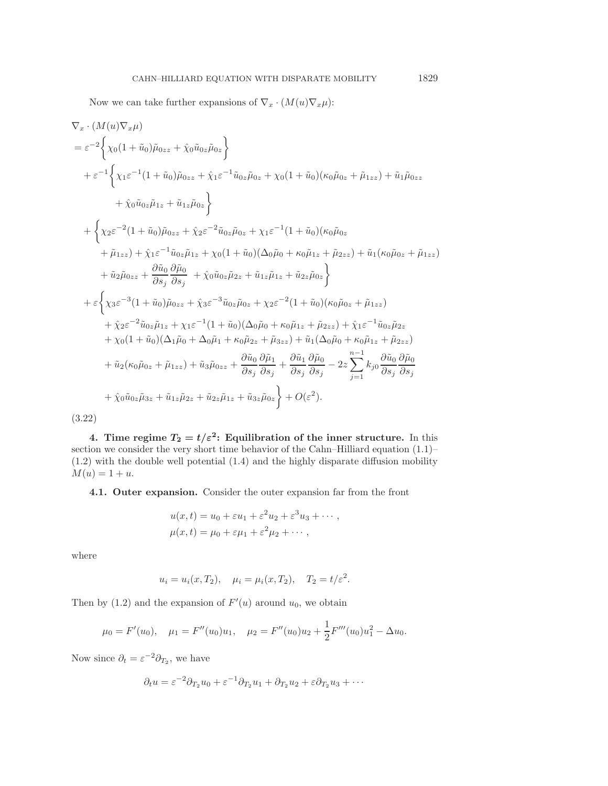$$
\nabla_x \cdot (M(u)\nabla_x \mu)
$$
  
\n
$$
= \varepsilon^{-2} \left\{ \chi_0(1 + \tilde{u}_0)\tilde{\mu}_{0zz} + \hat{\chi}_0 \tilde{u}_{0z}\tilde{\mu}_{0z} \right\}
$$
  
\n
$$
+ \varepsilon^{-1} \left\{ \chi_1 \varepsilon^{-1} (1 + \tilde{u}_0)\tilde{\mu}_{0zz} + \hat{\chi}_1 \varepsilon^{-1} \tilde{u}_{0z}\tilde{\mu}_{0z} + \chi_0 (1 + \tilde{u}_0)(\kappa_0 \tilde{\mu}_{0z} + \tilde{\mu}_{1zz}) + \tilde{u}_1 \tilde{\mu}_{0zz} \right\}
$$
  
\n
$$
+ \left\{ \chi_2 \varepsilon^{-2} (1 + \tilde{u}_0)\tilde{\mu}_{0zz} + \hat{\chi}_2 \varepsilon^{-2} \tilde{u}_{0z}\tilde{\mu}_{0z} + \chi_1 \varepsilon^{-1} (1 + \tilde{u}_0)(\kappa_0 \tilde{\mu}_{0z} + \tilde{\mu}_{1zz}) + \tilde{\chi}_1 \varepsilon^{-1} \tilde{u}_{0z}\tilde{\mu}_{1z} + \chi_0 (1 + \tilde{u}_0)(\Delta_0 \tilde{\mu}_0 + \kappa_0 \tilde{\mu}_{1z} + \tilde{\mu}_{2zz}) + \tilde{u}_1(\kappa_0 \tilde{\mu}_{0z} + \tilde{\mu}_{1zz})
$$
  
\n
$$
+ \tilde{u}_2 \tilde{\mu}_{0zz} + \frac{\partial \tilde{u}_0}{\partial s_0} \frac{\partial \tilde{\mu}_0}{\partial s_1} + \hat{\chi}_0 \tilde{u}_0 z \tilde{\mu}_{2z} + \tilde{u}_{1z}\tilde{\mu}_{1z} + \tilde{u}_{2z}\tilde{\mu}_{0z} \right\}
$$
  
\n
$$
+ \varepsilon \left\{ \chi_3 \varepsilon^{-3} (1 + \tilde{u}_0) \tilde{\mu}_{0zz} + \hat{\chi}_3 \varepsilon^{-3} \tilde{u}_{0z}\tilde{\mu}_{0z} + \chi_2 \varepsilon^{-2} (1 + \tilde{u}_0)(\kappa_0 \tilde{\mu}_{0z} + \tilde{\mu}_{1zz})
$$
  
\n
$$
+ \tilde{\chi}_2 \varepsilon
$$

**4.** Time regime  $T_2 = t/\varepsilon^2$ : Equilibration of the inner structure. In this section we consider the very short time behavior of the Cahn–Hilliard equation  $(1.1)$ – (1.2) with the double well potential (1.4) and the highly disparate diffusion mobility  $M(u) = 1 + u.$ 

**4.1. Outer expansion.** Consider the outer expansion far from the front

$$
u(x,t) = u_0 + \varepsilon u_1 + \varepsilon^2 u_2 + \varepsilon^3 u_3 + \cdots ,
$$
  

$$
\mu(x,t) = \mu_0 + \varepsilon \mu_1 + \varepsilon^2 \mu_2 + \cdots ,
$$

where

$$
u_i = u_i(x, T_2),
$$
  $\mu_i = \mu_i(x, T_2),$   $T_2 = t/\varepsilon^2.$ 

Then by  $(1.2)$  and the expansion of  $F'(u)$  around  $u_0$ , we obtain

$$
\mu_0 = F'(u_0),
$$
  $\mu_1 = F''(u_0)u_1,$   $\mu_2 = F''(u_0)u_2 + \frac{1}{2}F'''(u_0)u_1^2 - \Delta u_0.$ 

Now since  $\partial_t = \varepsilon^{-2} \partial_{T_2}$ , we have

$$
\partial_t u = \varepsilon^{-2} \partial_{T_2} u_0 + \varepsilon^{-1} \partial_{T_2} u_1 + \partial_{T_2} u_2 + \varepsilon \partial_{T_2} u_3 + \cdots
$$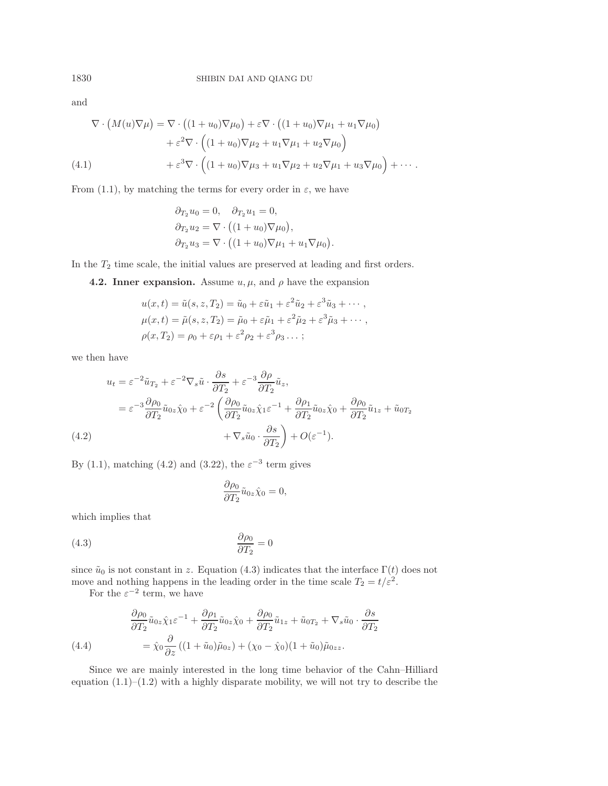and

$$
\nabla \cdot \left( M(u) \nabla \mu \right) = \nabla \cdot \left( (1 + u_0) \nabla \mu_0 \right) + \varepsilon \nabla \cdot \left( (1 + u_0) \nabla \mu_1 + u_1 \nabla \mu_0 \right) \n+ \varepsilon^2 \nabla \cdot \left( (1 + u_0) \nabla \mu_2 + u_1 \nabla \mu_1 + u_2 \nabla \mu_0 \right) \n+ \varepsilon^3 \nabla \cdot \left( (1 + u_0) \nabla \mu_3 + u_1 \nabla \mu_2 + u_2 \nabla \mu_1 + u_3 \nabla \mu_0 \right) + \cdots.
$$
\n(4.1)

From (1.1), by matching the terms for every order in  $\varepsilon$ , we have

$$
\partial_{T_2} u_0 = 0, \quad \partial_{T_2} u_1 = 0,
$$
  
\n
$$
\partial_{T_2} u_2 = \nabla \cdot ((1 + u_0) \nabla \mu_0),
$$
  
\n
$$
\partial_{T_2} u_3 = \nabla \cdot ((1 + u_0) \nabla \mu_1 + u_1 \nabla \mu_0).
$$

In the  $T_2$  time scale, the initial values are preserved at leading and first orders.

**4.2. Inner expansion.** Assume  $u, \mu$ , and  $\rho$  have the expansion

$$
u(x,t) = \tilde{u}(s, z, T_2) = \tilde{u}_0 + \varepsilon \tilde{u}_1 + \varepsilon^2 \tilde{u}_2 + \varepsilon^3 \tilde{u}_3 + \cdots,
$$
  
\n
$$
\mu(x,t) = \tilde{\mu}(s, z, T_2) = \tilde{\mu}_0 + \varepsilon \tilde{\mu}_1 + \varepsilon^2 \tilde{\mu}_2 + \varepsilon^3 \tilde{\mu}_3 + \cdots,
$$
  
\n
$$
\rho(x,T_2) = \rho_0 + \varepsilon \rho_1 + \varepsilon^2 \rho_2 + \varepsilon^3 \rho_3 \cdots;
$$

we then have

$$
u_t = \varepsilon^{-2} \tilde{u}_{T_2} + \varepsilon^{-2} \nabla_s \tilde{u} \cdot \frac{\partial s}{\partial T_2} + \varepsilon^{-3} \frac{\partial \rho}{\partial T_2} \tilde{u}_z,
$$
  

$$
= \varepsilon^{-3} \frac{\partial \rho_0}{\partial T_2} \tilde{u}_{0z} \hat{\chi}_0 + \varepsilon^{-2} \left( \frac{\partial \rho_0}{\partial T_2} \tilde{u}_{0z} \hat{\chi}_1 \varepsilon^{-1} + \frac{\partial \rho_1}{\partial T_2} \tilde{u}_{0z} \hat{\chi}_0 + \frac{\partial \rho_0}{\partial T_2} \tilde{u}_{1z} + \tilde{u}_{0T_2} \right.
$$
  
(4.2) 
$$
+ \nabla_s \tilde{u}_0 \cdot \frac{\partial s}{\partial T_2} + O(\varepsilon^{-1}).
$$

By (1.1), matching (4.2) and (3.22), the  $\varepsilon^{-3}$  term gives

$$
\frac{\partial \rho_0}{\partial T_2} \tilde{u}_{0z} \hat{\chi}_0 = 0,
$$

which implies that

$$
\frac{\partial \rho_0}{\partial T_2} = 0
$$

since  $\tilde{u}_0$  is not constant in z. Equation (4.3) indicates that the interface  $\Gamma(t)$  does not move and nothing happens in the leading order in the time scale  $T_2 = t/\varepsilon^2$ .

For the  $\varepsilon^{-2}$  term, we have

(4.4)  
\n
$$
\frac{\partial \rho_0}{\partial T_2} \tilde{u}_{0z} \hat{\chi}_1 \varepsilon^{-1} + \frac{\partial \rho_1}{\partial T_2} \tilde{u}_{0z} \hat{\chi}_0 + \frac{\partial \rho_0}{\partial T_2} \tilde{u}_{1z} + \tilde{u}_{0T_2} + \nabla_s \tilde{u}_0 \cdot \frac{\partial s}{\partial T_2}
$$
\n
$$
= \hat{\chi}_0 \frac{\partial}{\partial z} \left( (1 + \tilde{u}_0) \tilde{\mu}_{0z} \right) + (\chi_0 - \hat{\chi}_0) (1 + \tilde{u}_0) \tilde{\mu}_{0zz}.
$$

Since we are mainly interested in the long time behavior of the Cahn–Hilliard equation  $(1.1)$ – $(1.2)$  with a highly disparate mobility, we will not try to describe the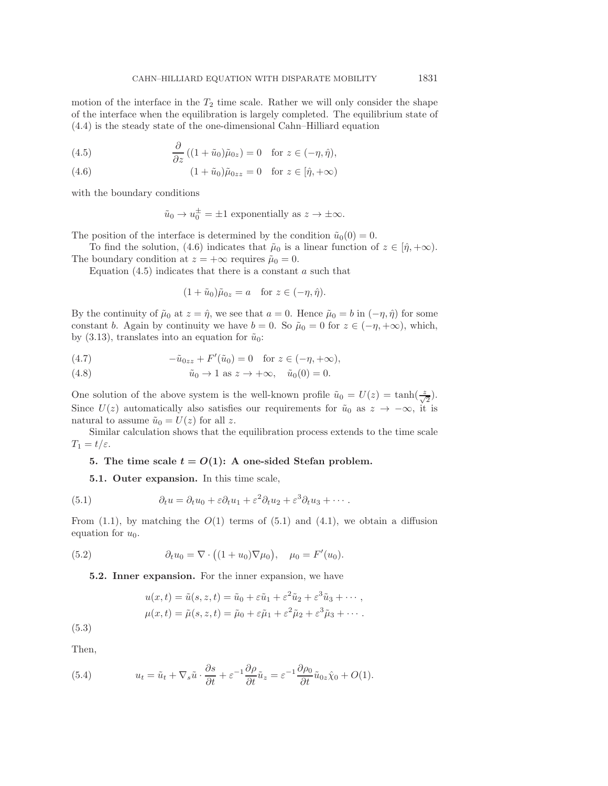motion of the interface in the  $T_2$  time scale. Rather we will only consider the shape of the interface when the equilibration is largely completed. The equilibrium state of (4.4) is the steady state of the one-dimensional Cahn–Hilliard equation

(4.5) 
$$
\frac{\partial}{\partial z} ((1 + \tilde{u}_0)\tilde{\mu}_{0z}) = 0 \text{ for } z \in (-\eta, \hat{\eta}),
$$

(4.6) 
$$
(1 + \tilde{u}_0)\tilde{\mu}_{0zz} = 0 \quad \text{for } z \in [\hat{\eta}, +\infty)
$$

with the boundary conditions

$$
\tilde{u}_0 \to u_0^{\pm} = \pm 1
$$
 exponentially as  $z \to \pm \infty$ .

The position of the interface is determined by the condition  $\tilde{u}_0(0) = 0$ .

To find the solution, (4.6) indicates that  $\tilde{\mu}_0$  is a linear function of  $z \in [\hat{\eta}, +\infty)$ . The boundary condition at  $z = +\infty$  requires  $\tilde{\mu}_0 = 0$ .

Equation  $(4.5)$  indicates that there is a constant a such that

$$
(1 + \tilde{u}_0)\tilde{\mu}_{0z} = a \quad \text{for } z \in (-\eta, \hat{\eta}).
$$

By the continuity of  $\tilde{\mu}_0$  at  $z = \hat{\eta}$ , we see that  $a = 0$ . Hence  $\tilde{\mu}_0 = b$  in  $(-\eta, \hat{\eta})$  for some constant b. Again by continuity we have  $b = 0$ . So  $\tilde{\mu}_0 = 0$  for  $z \in (-\eta, +\infty)$ , which, by (3.13), translates into an equation for  $\tilde{u}_0$ :

(4.7) 
$$
-\tilde{u}_{0zz} + F'(\tilde{u}_0) = 0 \quad \text{for } z \in (-\eta, +\infty),
$$

(4.8) 
$$
\tilde{u}_0 \to 1 \text{ as } z \to +\infty, \quad \tilde{u}_0(0) = 0.
$$

One solution of the above system is the well-known profile  $\tilde{u}_0 = U(z) = \tanh(\frac{z}{\sqrt{2}})$ . Since  $U(z)$  automatically also satisfies our requirements for  $\tilde{u}_0$  as  $z \to -\infty$ , it is natural to assume  $\tilde{u}_0 = U(z)$  for all z.

Similar calculation shows that the equilibration process extends to the time scale  $T_1 = t/\varepsilon$ .

## **5.** The time scale  $t = O(1)$ : A one-sided Stefan problem.

**5.1. Outer expansion.** In this time scale,

(5.1) 
$$
\partial_t u = \partial_t u_0 + \varepsilon \partial_t u_1 + \varepsilon^2 \partial_t u_2 + \varepsilon^3 \partial_t u_3 + \cdots
$$

From  $(1.1)$ , by matching the  $O(1)$  terms of  $(5.1)$  and  $(4.1)$ , we obtain a diffusion equation for  $u_0$ .

(5.2) 
$$
\partial_t u_0 = \nabla \cdot ((1 + u_0) \nabla \mu_0), \quad \mu_0 = F'(u_0).
$$

**5.2. Inner expansion.** For the inner expansion, we have

$$
u(x,t) = \tilde{u}(s, z, t) = \tilde{u}_0 + \varepsilon \tilde{u}_1 + \varepsilon^2 \tilde{u}_2 + \varepsilon^3 \tilde{u}_3 + \cdots,
$$
  

$$
\mu(x,t) = \tilde{\mu}(s, z, t) = \tilde{\mu}_0 + \varepsilon \tilde{\mu}_1 + \varepsilon^2 \tilde{\mu}_2 + \varepsilon^3 \tilde{\mu}_3 + \cdots.
$$

(5.3)

Then,

(5.4) 
$$
u_t = \tilde{u}_t + \nabla_s \tilde{u} \cdot \frac{\partial s}{\partial t} + \varepsilon^{-1} \frac{\partial \rho}{\partial t} \tilde{u}_z = \varepsilon^{-1} \frac{\partial \rho_0}{\partial t} \tilde{u}_{0z} \hat{\chi}_0 + O(1).
$$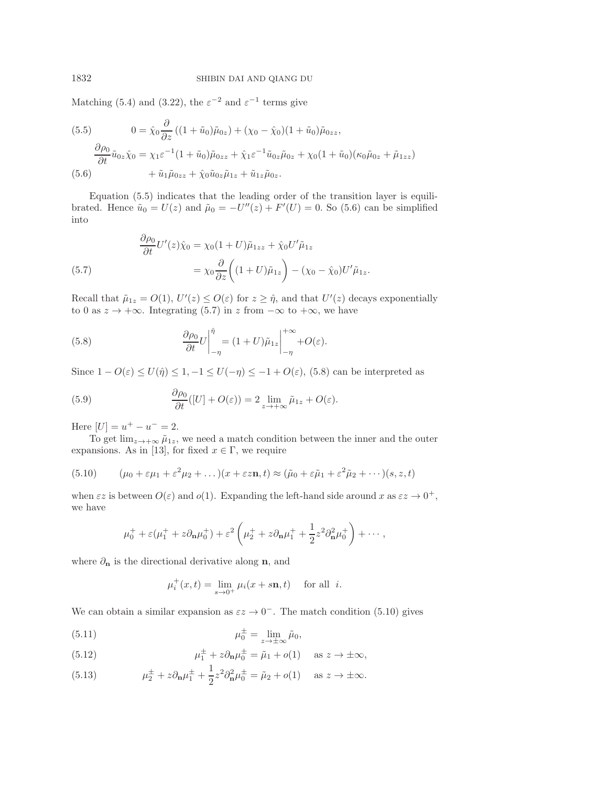Matching (5.4) and (3.22), the  $\varepsilon^{-2}$  and  $\varepsilon^{-1}$  terms give

(5.5) 
$$
0 = \hat{\chi}_0 \frac{\partial}{\partial z} ((1 + \tilde{u}_0) \tilde{\mu}_{0z}) + (\chi_0 - \hat{\chi}_0)(1 + \tilde{u}_0) \tilde{\mu}_{0zz},
$$

$$
\frac{\partial \rho_0}{\partial t} \tilde{u}_{0z} \hat{\chi}_0 = \chi_1 \varepsilon^{-1} (1 + \tilde{u}_0) \tilde{\mu}_{0zz} + \hat{\chi}_1 \varepsilon^{-1} \tilde{u}_{0z} \tilde{\mu}_{0z} + \chi_0 (1 + \tilde{u}_0) (\kappa_0 \tilde{\mu}_{0z} + \tilde{\mu}_{1zz})
$$

$$
(5.6) \qquad + \tilde{u}_1 \tilde{\mu}_{0zz} + \hat{\chi}_0 \tilde{u}_{0z} \tilde{\mu}_{1z} + \tilde{u}_{1z} \tilde{\mu}_{0z}.
$$

Equation (5.5) indicates that the leading order of the transition layer is equilibrated. Hence  $\tilde{u}_0 = U(z)$  and  $\tilde{\mu}_0 = -U''(z) + F'(U) = 0$ . So (5.6) can be simplified into

(5.7) 
$$
\frac{\partial \rho_0}{\partial t} U'(z) \hat{\chi}_0 = \chi_0 (1+U) \tilde{\mu}_{1zz} + \hat{\chi}_0 U' \tilde{\mu}_{1z}
$$

$$
= \chi_0 \frac{\partial}{\partial z} \left( (1+U) \tilde{\mu}_{1z} \right) - (\chi_0 - \hat{\chi}_0) U' \tilde{\mu}_{1z}.
$$

Recall that  $\tilde{\mu}_{1z} = O(1)$ ,  $U'(z) \le O(\varepsilon)$  for  $z \ge \hat{\eta}$ , and that  $U'(z)$  decays exponentially to 0 as  $z \to +\infty$ . Integrating (5.7) in z from  $-\infty$  to  $+\infty$ , we have

(5.8) 
$$
\frac{\partial \rho_0}{\partial t} U \bigg|_{-\eta}^{\hat{\eta}} = (1+U)\tilde{\mu}_{1z} \bigg|_{-\eta}^{+\infty} + O(\varepsilon).
$$

Since  $1 - O(\varepsilon) \le U(\hat{\eta}) \le 1, -1 \le U(-\eta) \le -1 + O(\varepsilon)$ , (5.8) can be interpreted as

(5.9) 
$$
\frac{\partial \rho_0}{\partial t}([U] + O(\varepsilon)) = 2 \lim_{z \to +\infty} \tilde{\mu}_{1z} + O(\varepsilon).
$$

Here  $|U| = u^{+} - u^{-} = 2$ .

To get  $\lim_{z\to+\infty}\tilde{\mu}_{1z}$ , we need a match condition between the inner and the outer expansions. As in [13], for fixed  $x \in \Gamma$ , we require

(5.10) 
$$
(\mu_0 + \varepsilon \mu_1 + \varepsilon^2 \mu_2 + \dots)(x + \varepsilon \varepsilon \mathbf{n}, t) \approx (\tilde{\mu}_0 + \varepsilon \tilde{\mu}_1 + \varepsilon^2 \tilde{\mu}_2 + \dots)(s, z, t)
$$

when  $\epsilon z$  is between  $O(\epsilon)$  and  $o(1)$ . Expanding the left-hand side around x as  $\epsilon z \to 0^+,$ we have

$$
\mu_0^+ + \varepsilon (\mu_1^+ + z \partial_{\mathbf{n}} \mu_0^+) + \varepsilon^2 \left( \mu_2^+ + z \partial_{\mathbf{n}} \mu_1^+ + \frac{1}{2} z^2 \partial_{\mathbf{n}}^2 \mu_0^+ \right) + \cdots,
$$

where  $\partial_{\mathbf{n}}$  is the directional derivative along **n**, and

$$
\mu_i^+(x,t) = \lim_{s \to 0^+} \mu_i(x+s\mathbf{n},t)
$$
 for all *i*.

We can obtain a similar expansion as  $\varepsilon z \to 0^-$ . The match condition (5.10) gives

(5.11) 
$$
\mu_0^{\pm} = \lim_{z \to \pm \infty} \tilde{\mu}_0,
$$

(5.12) 
$$
\mu_1^{\pm} + z \partial_{\mathbf{n}} \mu_0^{\pm} = \tilde{\mu}_1 + o(1) \quad \text{as } z \to \pm \infty,
$$

(5.13) 
$$
\mu_2^{\pm} + z \partial_{\mathbf{n}} \mu_1^{\pm} + \frac{1}{2} z^2 \partial_{\mathbf{n}}^2 \mu_0^{\pm} = \tilde{\mu}_2 + o(1) \quad \text{as } z \to \pm \infty.
$$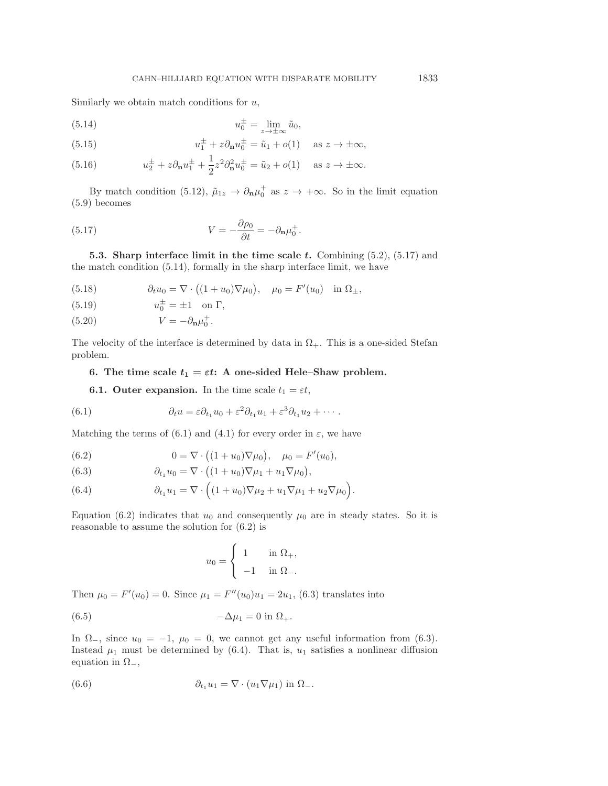Similarly we obtain match conditions for  $u$ ,

(5.14) 
$$
u_0^{\pm} = \lim_{z \to \pm \infty} \tilde{u}_0,
$$

(5.15) 
$$
u_1^{\pm} + z \partial_{\mathbf{n}} u_0^{\pm} = \tilde{u}_1 + o(1) \quad \text{as } z \to \pm \infty,
$$

(5.16) 
$$
u_2^{\pm} + z \partial_{\mathbf{n}} u_1^{\pm} + \frac{1}{2} z^2 \partial_{\mathbf{n}}^2 u_0^{\pm} = \tilde{u}_2 + o(1) \text{ as } z \to \pm \infty.
$$

By match condition (5.12),  $\tilde{\mu}_{1z} \to \partial_{\mathbf{n}} \mu_0^+$  as  $z \to +\infty$ . So in the limit equation (5.9) becomes

(5.17) 
$$
V = -\frac{\partial \rho_0}{\partial t} = -\partial_{\mathbf{n}} \mu_0^+.
$$

**5.3. Sharp interface limit in the time scale** *t***.** Combining (5.2), (5.17) and the match condition (5.14), formally in the sharp interface limit, we have

(5.18) 
$$
\partial_t u_0 = \nabla \cdot ((1 + u_0) \nabla \mu_0), \quad \mu_0 = F'(u_0) \text{ in } \Omega_{\pm},
$$

(5.19)  $u_0^{\pm} = \pm 1$  on  $\Gamma$ ,

(5.20) 
$$
V = -\partial_{\mathbf{n}}\mu_0^+.
$$

The velocity of the interface is determined by data in  $\Omega_{+}$ . This is a one-sided Stefan problem.

## **6.** The time scale  $t_1 = \varepsilon t$ : A one-sided Hele–Shaw problem.

**6.1. Outer expansion.** In the time scale  $t_1 = \varepsilon t$ ,

(6.1) 
$$
\partial_t u = \varepsilon \partial_{t_1} u_0 + \varepsilon^2 \partial_{t_1} u_1 + \varepsilon^3 \partial_{t_1} u_2 + \cdots
$$

Matching the terms of (6.1) and (4.1) for every order in  $\varepsilon$ , we have

(6.2) 
$$
0 = \nabla \cdot ((1 + u_0) \nabla \mu_0), \quad \mu_0 = F'(u_0),
$$

(6.3) 
$$
\partial_{t_1} u_0 = \nabla \cdot \left( (1+u_0) \nabla \mu_1 + u_1 \nabla \mu_0 \right),
$$

(6.4) 
$$
\partial_{t_1} u_1 = \nabla \cdot \left( (1 + u_0) \nabla \mu_2 + u_1 \nabla \mu_1 + u_2 \nabla \mu_0 \right).
$$

Equation (6.2) indicates that  $u_0$  and consequently  $\mu_0$  are in steady states. So it is reasonable to assume the solution for (6.2) is

$$
u_0 = \begin{cases} 1 & \text{in } \Omega_+, \\ -1 & \text{in } \Omega_-. \end{cases}
$$

Then  $\mu_0 = F'(u_0) = 0$ . Since  $\mu_1 = F''(u_0)u_1 = 2u_1$ , (6.3) translates into

(6.5) 
$$
-\Delta \mu_1 = 0 \text{ in } \Omega_+.
$$

In  $\Omega_-,$  since  $u_0 = -1$ ,  $\mu_0 = 0$ , we cannot get any useful information from (6.3). Instead  $\mu_1$  must be determined by (6.4). That is,  $u_1$  satisfies a nonlinear diffusion equation in  $\Omega_-,$ 

(6.6) 
$$
\partial_{t_1} u_1 = \nabla \cdot (u_1 \nabla \mu_1) \text{ in } \Omega_-.
$$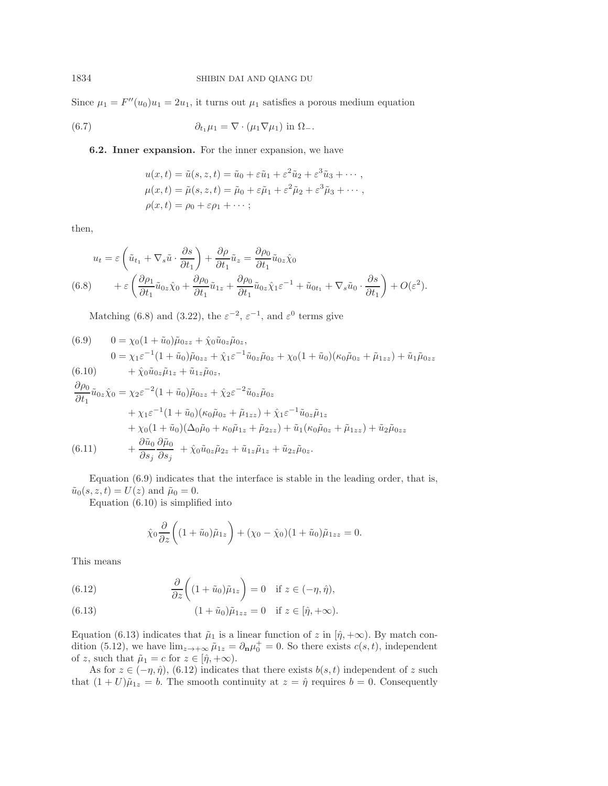Since  $\mu_1 = F''(u_0)u_1 = 2u_1$ , it turns out  $\mu_1$  satisfies a porous medium equation

(6.7) 
$$
\partial_{t_1} \mu_1 = \nabla \cdot (\mu_1 \nabla \mu_1) \text{ in } \Omega_-.
$$

**6.2. Inner expansion.** For the inner expansion, we have

$$
u(x,t) = \tilde{u}(s, z, t) = \tilde{u}_0 + \varepsilon \tilde{u}_1 + \varepsilon^2 \tilde{u}_2 + \varepsilon^3 \tilde{u}_3 + \cdots,
$$
  
\n
$$
\mu(x,t) = \tilde{\mu}(s, z, t) = \tilde{\mu}_0 + \varepsilon \tilde{\mu}_1 + \varepsilon^2 \tilde{\mu}_2 + \varepsilon^3 \tilde{\mu}_3 + \cdots,
$$
  
\n
$$
\rho(x,t) = \rho_0 + \varepsilon \rho_1 + \cdots;
$$

then,

$$
u_t = \varepsilon \left( \tilde{u}_{t_1} + \nabla_s \tilde{u} \cdot \frac{\partial s}{\partial t_1} \right) + \frac{\partial \rho}{\partial t_1} \tilde{u}_z = \frac{\partial \rho_0}{\partial t_1} \tilde{u}_{0z} \hat{\chi}_0
$$
  
(6.8) 
$$
+ \varepsilon \left( \frac{\partial \rho_1}{\partial t_1} \tilde{u}_{0z} \hat{\chi}_0 + \frac{\partial \rho_0}{\partial t_1} \tilde{u}_{1z} + \frac{\partial \rho_0}{\partial t_1} \tilde{u}_{0z} \hat{\chi}_1 \varepsilon^{-1} + \tilde{u}_{0t_1} + \nabla_s \tilde{u}_0 \cdot \frac{\partial s}{\partial t_1} \right) + O(\varepsilon^2).
$$

Matching (6.8) and (3.22), the  $\varepsilon^{-2}$ ,  $\varepsilon^{-1}$ , and  $\varepsilon^0$  terms give

(6.9) 
$$
0 = \chi_0 (1 + \tilde{u}_0) \tilde{\mu}_{0zz} + \hat{\chi}_0 \tilde{u}_{0z} \tilde{\mu}_{0z},
$$
  
\n
$$
0 = \chi_1 \varepsilon^{-1} (1 + \tilde{u}_0) \tilde{\mu}_{0zz} + \hat{\chi}_1 \varepsilon^{-1} \tilde{u}_{0z} \tilde{\mu}_{0z} + \chi_0 (1 + \tilde{u}_0) (\kappa_0 \tilde{\mu}_{0z} + \tilde{\mu}_{1zz}) + \tilde{u}_1 \tilde{\mu}_{0zz}
$$
  
\n(6.10) 
$$
+ \hat{\chi}_0 \tilde{u}_{0z} \tilde{\mu}_{1z} + \tilde{u}_{1z} \tilde{\mu}_{0z},
$$

$$
\frac{\partial \rho_0}{\partial t_1} \tilde{u}_{0z} \hat{\chi}_0 = \chi_2 \varepsilon^{-2} (1 + \tilde{u}_0) \tilde{\mu}_{0zz} + \hat{\chi}_2 \varepsilon^{-2} \tilde{u}_{0z} \tilde{\mu}_{0z} \n+ \chi_1 \varepsilon^{-1} (1 + \tilde{u}_0) (\kappa_0 \tilde{\mu}_{0z} + \tilde{\mu}_{1zz}) + \hat{\chi}_1 \varepsilon^{-1} \tilde{u}_{0z} \tilde{\mu}_{1z} \n+ \chi_0 (1 + \tilde{u}_0) (\Delta_0 \tilde{\mu}_0 + \kappa_0 \tilde{\mu}_{1z} + \tilde{\mu}_{2zz}) + \tilde{u}_1 (\kappa_0 \tilde{\mu}_{0z} + \tilde{\mu}_{1zz}) + \tilde{u}_2 \tilde{\mu}_{0zz} \n(6.11) \qquad + \frac{\partial \tilde{u}_0}{\partial s_j} \frac{\partial \tilde{\mu}_0}{\partial s_j} + \hat{\chi}_0 \tilde{u}_{0z} \tilde{\mu}_{2z} + \tilde{u}_{1z} \tilde{\mu}_{1z} + \tilde{u}_{2z} \tilde{\mu}_{0z}.
$$

Equation (6.9) indicates that the interface is stable in the leading order, that is,  $\tilde{u}_0(s, z, t) = U(z)$  and  $\tilde{\mu}_0 = 0$ .

Equation (6.10) is simplified into

$$
\hat{\chi}_0 \frac{\partial}{\partial z} \left( (1 + \tilde{u}_0) \tilde{\mu}_{1z} \right) + (\chi_0 - \hat{\chi}_0) (1 + \tilde{u}_0) \tilde{\mu}_{1zz} = 0.
$$

This means

(6.12) 
$$
\frac{\partial}{\partial z}\bigg((1+\tilde{u}_0)\tilde{\mu}_{1z}\bigg) = 0 \quad \text{if } z \in (-\eta, \hat{\eta}),
$$

(6.13) 
$$
(1 + \tilde{u}_0)\tilde{\mu}_{1zz} = 0 \text{ if } z \in [\hat{\eta}, +\infty).
$$

Equation (6.13) indicates that  $\tilde{\mu}_1$  is a linear function of z in  $[\hat{\eta}, +\infty)$ . By match condition (5.12), we have  $\lim_{z\to+\infty} \tilde{\mu}_{1z} = \partial_{\mathbf{n}} \mu_0^+ = 0$ . So there exists  $c(s, t)$ , independent of z, such that  $\tilde{\mu}_1 = c$  for  $z \in [\hat{\eta}, +\infty)$ .

As for  $z \in (-\eta, \hat{\eta})$ , (6.12) indicates that there exists  $b(s, t)$  independent of z such that  $(1+U)\tilde{\mu}_{1z} = b$ . The smooth continuity at  $z = \hat{\eta}$  requires  $b = 0$ . Consequently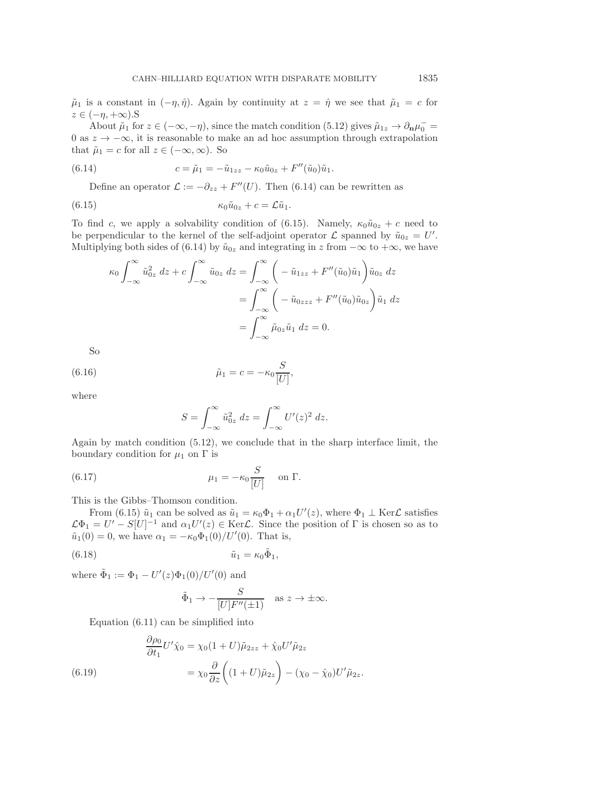$\tilde{\mu}_1$  is a constant in  $(-\eta, \hat{\eta})$ . Again by continuity at  $z = \hat{\eta}$  we see that  $\tilde{\mu}_1 = c$  for  $z \in (-\eta, +\infty)$ .S

About  $\tilde{\mu}_1$  for  $z \in (-\infty, -\eta)$ , since the match condition (5.12) gives  $\tilde{\mu}_{1z} \to \partial_{\mathbf{n}} \mu_0^-$ 0 as  $z \to -\infty$ , it is reasonable to make an ad hoc assumption through extrapolation that  $\tilde{\mu}_1 = c$  for all  $z \in (-\infty, \infty)$ . So

(6.14) 
$$
c = \tilde{\mu}_1 = -\tilde{u}_{1zz} - \kappa_0 \tilde{u}_{0z} + F''(\tilde{u}_0)\tilde{u}_1.
$$

Define an operator  $\mathcal{L} := -\partial_{zz} + F''(U)$ . Then (6.14) can be rewritten as

(6.15) 
$$
\kappa_0 \tilde{u}_{0z} + c = \mathcal{L} \tilde{u}_1.
$$

To find c, we apply a solvability condition of (6.15). Namely,  $\kappa_0\tilde{u}_{0z}+c$  need to be perpendicular to the kernel of the self-adjoint operator  $\mathcal L$  spanned by  $\tilde{u}_{0z} = U'$ . Multiplying both sides of (6.14) by  $\tilde{u}_{0z}$  and integrating in z from  $-\infty$  to  $+\infty$ , we have

$$
\kappa_0 \int_{-\infty}^{\infty} \tilde{u}_{0z}^2 dz + c \int_{-\infty}^{\infty} \tilde{u}_{0z} dz = \int_{-\infty}^{\infty} \left( -\tilde{u}_{1zz} + F''(\tilde{u}_0)\tilde{u}_1 \right) \tilde{u}_{0z} dz
$$
  

$$
= \int_{-\infty}^{\infty} \left( -\tilde{u}_{0zzz} + F''(\tilde{u}_0)\tilde{u}_{0z} \right) \tilde{u}_1 dz
$$
  

$$
= \int_{-\infty}^{\infty} \tilde{\mu}_{0z} \tilde{u}_1 dz = 0.
$$

So

(6.16) 
$$
\tilde{\mu}_1 = c = -\kappa_0 \frac{S}{[U]},
$$

where

$$
S = \int_{-\infty}^{\infty} \tilde{u}_{0z}^2 dz = \int_{-\infty}^{\infty} U'(z)^2 dz.
$$

Again by match condition (5.12), we conclude that in the sharp interface limit, the boundary condition for  $\mu_1$  on  $\Gamma$  is

(6.17) 
$$
\mu_1 = -\kappa_0 \frac{S}{|U|} \quad \text{on } \Gamma.
$$

This is the Gibbs–Thomson condition.

From (6.15)  $\tilde{u}_1$  can be solved as  $\tilde{u}_1 = \kappa_0 \Phi_1 + \alpha_1 U'(z)$ , where  $\Phi_1 \perp \text{Ker}\mathcal{L}$  satisfies  $\mathcal{L}\Phi_1 = U' - S[U]^{-1}$  and  $\alpha_1 U'(z) \in \text{Ker}\mathcal{L}$ . Since the position of  $\Gamma$  is chosen so as to  $\tilde{u}_1(0) = 0$ , we have  $\alpha_1 = -\kappa_0 \Phi_1(0)/U'(0)$ . That is,

$$
(6.18) \t\t\t \tilde{u}_1 = \kappa_0 \tilde{\Phi}_1,
$$

where  $\tilde{\Phi}_1 := \Phi_1 - U'(z)\Phi_1(0)/U'(0)$  and

$$
\tilde{\Phi}_1 \to -\frac{S}{[U]F''(\pm 1)}
$$
 as  $z \to \pm \infty$ .

Equation (6.11) can be simplified into

(6.19) 
$$
\begin{aligned}\n\frac{\partial \rho_0}{\partial t_1} U' \hat{\chi}_0 &= \chi_0 (1 + U) \tilde{\mu}_{2zz} + \hat{\chi}_0 U' \tilde{\mu}_{2z} \\
&= \chi_0 \frac{\partial}{\partial z} \left( (1 + U) \tilde{\mu}_{2z} \right) - (\chi_0 - \hat{\chi}_0) U' \tilde{\mu}_{2z}.\n\end{aligned}
$$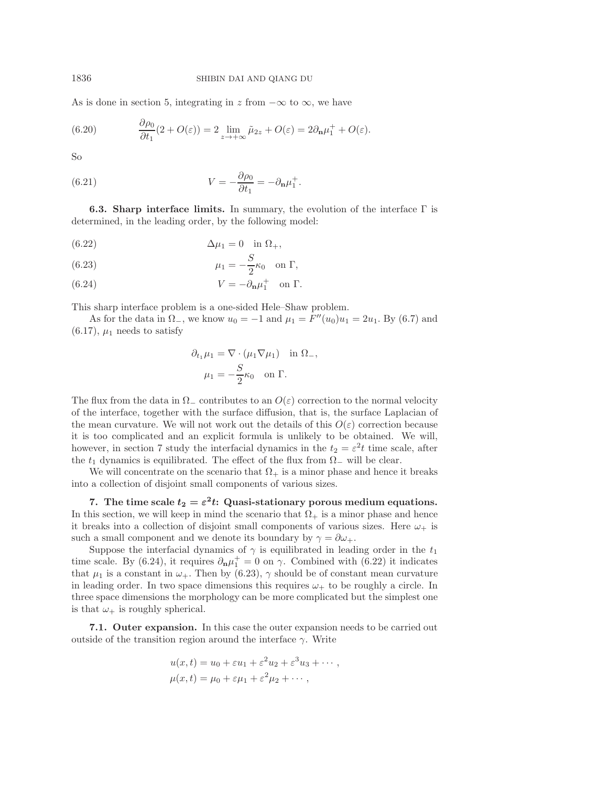As is done in section 5, integrating in z from  $-\infty$  to  $\infty$ , we have

(6.20) 
$$
\frac{\partial \rho_0}{\partial t_1} (2 + O(\varepsilon)) = 2 \lim_{z \to +\infty} \tilde{\mu}_{2z} + O(\varepsilon) = 2 \partial_{\mathbf{n}} \mu_1^+ + O(\varepsilon).
$$

So

(6.21) 
$$
V = -\frac{\partial \rho_0}{\partial t_1} = -\partial_{\mathbf{n}} \mu_1^+.
$$

**6.3. Sharp interface limits.** In summary, the evolution of the interface Γ is determined, in the leading order, by the following model:

(6.22) 
$$
\Delta \mu_1 = 0 \quad \text{in } \Omega_+,
$$

(6.23) 
$$
\mu_1 = -\frac{S}{2}\kappa_0 \quad \text{on } \Gamma,
$$

(6.24) 
$$
V = -\partial_{\mathbf{n}}\mu_1^+ \quad \text{on } \Gamma.
$$

This sharp interface problem is a one-sided Hele–Shaw problem.

As for the data in  $\Omega_-,$  we know  $u_0 = -1$  and  $\mu_1 = F''(u_0)u_1 = 2u_1$ . By (6.7) and  $(6.17), \mu_1$  needs to satisfy

$$
\partial_{t_1}\mu_1 = \nabla \cdot (\mu_1 \nabla \mu_1) \text{ in } \Omega_-,
$$

$$
\mu_1 = -\frac{S}{2}\kappa_0 \text{ on } \Gamma.
$$

The flux from the data in  $\Omega_{-}$  contributes to an  $O(\varepsilon)$  correction to the normal velocity of the interface, together with the surface diffusion, that is, the surface Laplacian of the mean curvature. We will not work out the details of this  $O(\varepsilon)$  correction because it is too complicated and an explicit formula is unlikely to be obtained. We will, however, in section 7 study the interfacial dynamics in the  $t_2 = \varepsilon^2 t$  time scale, after the  $t_1$  dynamics is equilibrated. The effect of the flux from  $\Omega_{-}$  will be clear.

We will concentrate on the scenario that  $\Omega_{+}$  is a minor phase and hence it breaks into a collection of disjoint small components of various sizes.

**7.** The time scale  $t_2 = \varepsilon^2 t$ : Quasi-stationary porous medium equations. In this section, we will keep in mind the scenario that  $\Omega_{+}$  is a minor phase and hence it breaks into a collection of disjoint small components of various sizes. Here  $\omega_+$  is such a small component and we denote its boundary by  $\gamma = \partial \omega_+$ .

Suppose the interfacial dynamics of  $\gamma$  is equilibrated in leading order in the  $t_1$ time scale. By (6.24), it requires  $\partial_{\mathbf{n}}\mu_1^+ = 0$  on  $\gamma$ . Combined with (6.22) it indicates that  $\mu_1$  is a constant in  $\omega_+$ . Then by (6.23),  $\gamma$  should be of constant mean curvature in leading order. In two space dimensions this requires  $\omega_{+}$  to be roughly a circle. In three space dimensions the morphology can be more complicated but the simplest one is that  $\omega_+$  is roughly spherical.

**7.1. Outer expansion.** In this case the outer expansion needs to be carried out outside of the transition region around the interface  $\gamma$ . Write

$$
u(x,t) = u_0 + \varepsilon u_1 + \varepsilon^2 u_2 + \varepsilon^3 u_3 + \cdots ,
$$
  

$$
\mu(x,t) = \mu_0 + \varepsilon \mu_1 + \varepsilon^2 \mu_2 + \cdots ,
$$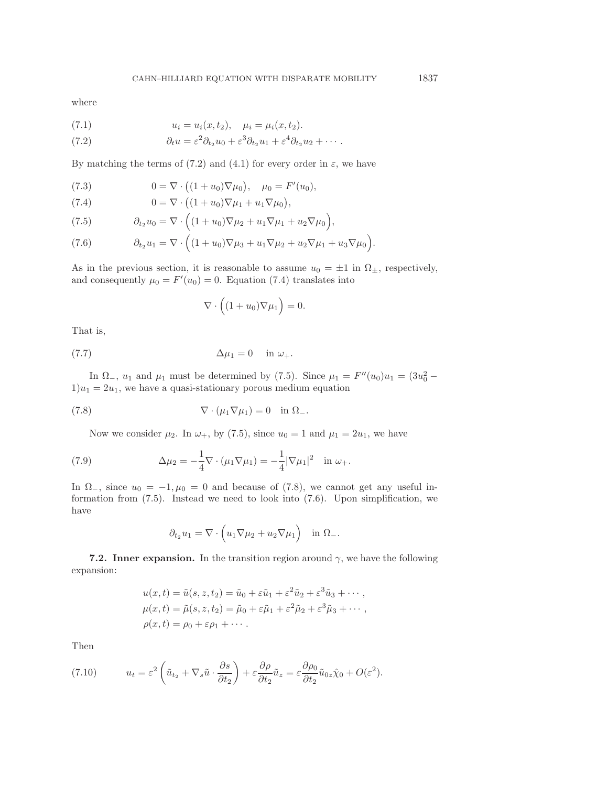where

(7.1) 
$$
u_i = u_i(x, t_2), \quad \mu_i = \mu_i(x, t_2).
$$

(7.2) 
$$
\partial_t u = \varepsilon^2 \partial_{t_2} u_0 + \varepsilon^3 \partial_{t_2} u_1 + \varepsilon^4 \partial_{t_2} u_2 + \cdots
$$

By matching the terms of (7.2) and (4.1) for every order in  $\varepsilon$ , we have

(7.3) 
$$
0 = \nabla \cdot ((1 + u_0) \nabla \mu_0), \quad \mu_0 = F'(u_0),
$$

(7.4) 
$$
0 = \nabla \cdot ((1 + u_0) \nabla \mu_1 + u_1 \nabla \mu_0),
$$

(7.4) 
$$
0 = \nabla \cdot ((1 + u_0) \nabla \mu_1 + u_1 \nabla \mu_0),
$$

$$
(7.5) \qquad \partial_{t_2} u_0 = \nabla \cdot ((1 + u_0) \nabla \mu_2 + u_1 \nabla \mu_1 + u_2 \nabla \mu_0),
$$

(7.6) 
$$
\partial_{t_2} u_1 = \nabla \cdot \left( (1+u_0) \nabla \mu_3 + u_1 \nabla \mu_2 + u_2 \nabla \mu_1 + u_3 \nabla \mu_0 \right).
$$

As in the previous section, it is reasonable to assume  $u_0 = \pm 1$  in  $\Omega_{\pm}$ , respectively, and consequently  $\mu_0 = F'(u_0) = 0$ . Equation (7.4) translates into

$$
\nabla \cdot \left( (1 + u_0) \nabla \mu_1 \right) = 0.
$$

That is,

$$
\Delta \mu_1 = 0 \quad \text{in } \omega_+.
$$

In  $\Omega_-, u_1$  and  $\mu_1$  must be determined by (7.5). Since  $\mu_1 = F''(u_0)u_1 = (3u_0^2 1)u_1 = 2u_1$ , we have a quasi-stationary porous medium equation

(7.8) 
$$
\nabla \cdot (\mu_1 \nabla \mu_1) = 0 \text{ in } \Omega_-.
$$

Now we consider  $\mu_2$ . In  $\omega_+$ , by (7.5), since  $u_0 = 1$  and  $\mu_1 = 2u_1$ , we have

(7.9) 
$$
\Delta \mu_2 = -\frac{1}{4} \nabla \cdot (\mu_1 \nabla \mu_1) = -\frac{1}{4} |\nabla \mu_1|^2 \text{ in } \omega_+.
$$

In  $\Omega_{-}$ , since  $u_0 = -1, \mu_0 = 0$  and because of (7.8), we cannot get any useful information from (7.5). Instead we need to look into (7.6). Upon simplification, we have

$$
\partial_{t_2} u_1 = \nabla \cdot \left( u_1 \nabla \mu_2 + u_2 \nabla \mu_1 \right) \quad \text{in } \Omega_-.
$$

**7.2. Inner expansion.** In the transition region around  $\gamma$ , we have the following expansion:

$$
u(x,t) = \tilde{u}(s, z, t_2) = \tilde{u}_0 + \varepsilon \tilde{u}_1 + \varepsilon^2 \tilde{u}_2 + \varepsilon^3 \tilde{u}_3 + \cdots,
$$
  
\n
$$
\mu(x,t) = \tilde{\mu}(s, z, t_2) = \tilde{\mu}_0 + \varepsilon \tilde{\mu}_1 + \varepsilon^2 \tilde{\mu}_2 + \varepsilon^3 \tilde{\mu}_3 + \cdots,
$$
  
\n
$$
\rho(x,t) = \rho_0 + \varepsilon \rho_1 + \cdots.
$$

Then

(7.10) 
$$
u_t = \varepsilon^2 \left( \tilde{u}_{t_2} + \nabla_s \tilde{u} \cdot \frac{\partial s}{\partial t_2} \right) + \varepsilon \frac{\partial \rho}{\partial t_2} \tilde{u}_z = \varepsilon \frac{\partial \rho_0}{\partial t_2} \tilde{u}_{0z} \hat{\chi}_0 + O(\varepsilon^2).
$$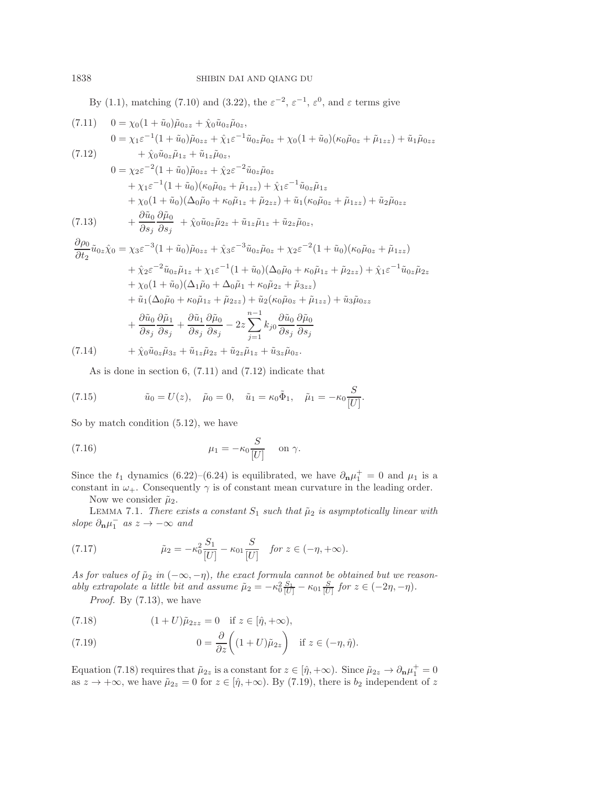By (1.1), matching (7.10) and (3.22), the  $\varepsilon^{-2}$ ,  $\varepsilon^{-1}$ ,  $\varepsilon^{0}$ , and  $\varepsilon$  terms give

(7.11) 
$$
0 = \chi_0 (1 + \tilde{u}_0) \tilde{\mu}_{0zz} + \hat{\chi}_0 \tilde{u}_{0z} \tilde{\mu}_{0z},
$$
  
\n
$$
0 = \chi_1 \varepsilon^{-1} (1 + \tilde{u}_0) \tilde{\mu}_{0zz} + \hat{\chi}_1 \varepsilon^{-1} \tilde{u}_{0z} \tilde{\mu}_{0z} + \chi_0 (1 + \tilde{u}_0) (\kappa_0 \tilde{\mu}_{0z} + \tilde{\mu}_{1zz}) + \tilde{u}_1 \tilde{\mu}_{0zz}
$$
  
\n(7.12) 
$$
+ \hat{\chi}_0 \tilde{u}_{0z} \tilde{\mu}_{1z} + \tilde{u}_{1z} \tilde{\mu}_{0z},
$$
  
\n
$$
0 = \chi_2 \varepsilon^{-2} (1 + \tilde{u}_0) \tilde{\mu}_{0zz} + \hat{\chi}_2 \varepsilon^{-2} \tilde{u}_{0z} \tilde{\mu}_{0z}
$$

$$
(7.13) \qquad \begin{aligned} 0 &= \chi_2 \varepsilon \quad (1 + u_0) \mu_{0zz} + \chi_2 \varepsilon \quad u_{0z} \mu_{0z} \\ &+ \chi_1 \varepsilon^{-1} (1 + \tilde{u}_0) (\kappa_0 \tilde{\mu}_{0z} + \tilde{\mu}_{1zz}) + \hat{\chi}_1 \varepsilon^{-1} \tilde{u}_{0z} \tilde{\mu}_{1z} \\ &+ \chi_0 (1 + \tilde{u}_0) (\Delta_0 \tilde{\mu}_0 + \kappa_0 \tilde{\mu}_{1z} + \tilde{\mu}_{2zz}) + \tilde{u}_1 (\kappa_0 \tilde{\mu}_{0z} + \tilde{\mu}_{1zz}) + \tilde{u}_2 \tilde{\mu}_{0zz} \\ &+ \frac{\partial \tilde{u}_0}{\partial s_j} \frac{\partial \tilde{\mu}_0}{\partial s_j} + \hat{\chi}_0 \tilde{u}_{0z} \tilde{\mu}_{2z} + \tilde{u}_{1z} \tilde{\mu}_{1z} + \tilde{u}_{2z} \tilde{\mu}_{0z}, \end{aligned}
$$

$$
\frac{\partial \rho_0}{\partial t_2} \tilde{u}_{0z} \hat{\chi}_0 = \chi_3 \varepsilon^{-3} (1 + \tilde{u}_0) \tilde{\mu}_{0zz} + \tilde{\chi}_3 \varepsilon^{-3} \tilde{u}_{0z} \tilde{\mu}_{0z} + \chi_2 \varepsilon^{-2} (1 + \tilde{u}_0) (\kappa_0 \tilde{\mu}_{0z} + \tilde{\mu}_{1zz}) \n+ \tilde{\chi}_2 \varepsilon^{-2} \tilde{u}_{0z} \tilde{\mu}_{1z} + \chi_1 \varepsilon^{-1} (1 + \tilde{u}_0) (\Delta_0 \tilde{\mu}_0 + \kappa_0 \tilde{\mu}_{1z} + \tilde{\mu}_{2zz}) + \tilde{\chi}_1 \varepsilon^{-1} \tilde{u}_{0z} \tilde{\mu}_{2z} \n+ \chi_0 (1 + \tilde{u}_0) (\Delta_1 \tilde{\mu}_0 + \Delta_0 \tilde{\mu}_1 + \kappa_0 \tilde{\mu}_{2z} + \tilde{\mu}_{3zz}) \n+ \tilde{u}_1 (\Delta_0 \tilde{\mu}_0 + \kappa_0 \tilde{\mu}_{1z} + \tilde{\mu}_{2zz}) + \tilde{u}_2 (\kappa_0 \tilde{\mu}_{0z} + \tilde{\mu}_{1zz}) + \tilde{u}_3 \tilde{\mu}_{0zz} \n+ \frac{\partial \tilde{u}_0}{\partial s_j} \frac{\partial \tilde{\mu}_1}{\partial s_j} + \frac{\partial \tilde{u}_1}{\partial s_j} \frac{\partial \tilde{\mu}_0}{\partial s_j} - 2z \sum_{j=1}^{n-1} k_{j0} \frac{\partial \tilde{u}_0}{\partial s_j} \frac{\partial \tilde{\mu}_0}{\partial s_j}
$$
\n
$$
(7.14)
$$

(7.14)  $+ \hat{\chi}_0 \tilde{u}_{0z} \tilde{\mu}_{3z} + \tilde{u}_{1z} \tilde{\mu}_{2z} + \tilde{u}_{2z} \tilde{\mu}_{1z} + \tilde{u}_{3z} \tilde{\mu}_{0z}.$ 

As is done in section 6, (7.11) and (7.12) indicate that

(7.15) 
$$
\tilde{u}_0 = U(z), \quad \tilde{\mu}_0 = 0, \quad \tilde{u}_1 = \kappa_0 \tilde{\Phi}_1, \quad \tilde{\mu}_1 = -\kappa_0 \frac{S}{[U]}.
$$

So by match condition (5.12), we have

(7.16) 
$$
\mu_1 = -\kappa_0 \frac{S}{[U]} \quad \text{on } \gamma.
$$

Since the  $t_1$  dynamics (6.22)–(6.24) is equilibrated, we have  $\partial_{\mathbf{n}}\mu_1^+ = 0$  and  $\mu_1$  is a constant in  $\omega_+$ . Consequently  $\gamma$  is of constant mean curvature in the leading order.

Now we consider  $\tilde{\mu}_2$ .

LEMMA 7.1. *There exists a constant*  $S_1$  *such that*  $\tilde{\mu}_2$  *is asymptotically linear with slope*  $\partial_{\mathbf{n}} \mu_1^-$  *as*  $z \to -\infty$  *and* 

(7.17) 
$$
\tilde{\mu}_2 = -\kappa_0^2 \frac{S_1}{[U]} - \kappa_{01} \frac{S}{[U]} \quad \text{for } z \in (-\eta, +\infty).
$$

*As for values of*  $\tilde{\mu}_2$  *in*  $(-\infty, -\eta)$ *, the exact formula cannot be obtained but we reasonably extrapolate a little bit and assume*  $\tilde{\mu}_2 = -\kappa_0^2 \frac{S_1}{|U|} - \kappa_{01} \frac{S}{|U|}$  for  $z \in (-2\eta, -\eta)$ .

*Proof.* By (7.13), we have

(7.18) 
$$
(1+U)\tilde{\mu}_{2zz} = 0 \text{ if } z \in [\hat{\eta}, +\infty),
$$

(7.19) 
$$
0 = \frac{\partial}{\partial z} \left( (1+U)\tilde{\mu}_{2z} \right) \text{ if } z \in (-\eta, \hat{\eta}).
$$

Equation (7.18) requires that  $\tilde{\mu}_{2z}$  is a constant for  $z \in [\hat{\eta}, +\infty)$ . Since  $\tilde{\mu}_{2z} \to \partial_{\mathbf{n}} \mu_1^+ = 0$ as  $z \to +\infty$ , we have  $\tilde{\mu}_{2z} = 0$  for  $z \in [\hat{\eta}, +\infty)$ . By (7.19), there is  $b_2$  independent of z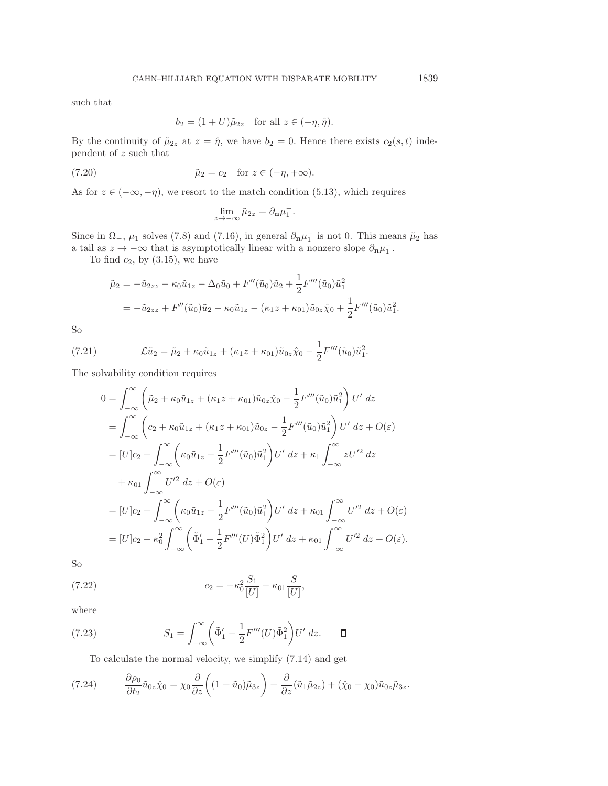such that

$$
b_2 = (1+U)\tilde{\mu}_{2z} \quad \text{for all } z \in (-\eta, \hat{\eta}).
$$

By the continuity of  $\tilde{\mu}_{2z}$  at  $z = \hat{\eta}$ , we have  $b_2 = 0$ . Hence there exists  $c_2(s, t)$  independent of z such that

(7.20) 
$$
\tilde{\mu}_2 = c_2 \quad \text{for } z \in (-\eta, +\infty).
$$

As for  $z \in (-\infty, -\eta)$ , we resort to the match condition (5.13), which requires

$$
\lim_{z \to -\infty} \tilde{\mu}_{2z} = \partial_{\mathbf{n}} \mu_1^-.
$$

Since in  $\Omega_-, \mu_1$  solves (7.8) and (7.16), in general  $\partial_{\bf n} \mu_1^-$  is not 0. This means  $\tilde{\mu}_2$  has a tail as  $z \to -\infty$  that is asymptotically linear with a nonzero slope  $\partial_{\bf n} \mu_1^-$ .

To find  $c_2$ , by  $(3.15)$ , we have

$$
\tilde{\mu}_2 = -\tilde{u}_{2zz} - \kappa_0 \tilde{u}_{1z} - \Delta_0 \tilde{u}_0 + F''(\tilde{u}_0) \tilde{u}_2 + \frac{1}{2} F'''(\tilde{u}_0) \tilde{u}_1^2
$$
  
=  $-\tilde{u}_{2zz} + F''(\tilde{u}_0) \tilde{u}_2 - \kappa_0 \tilde{u}_{1z} - (\kappa_1 z + \kappa_{01}) \tilde{u}_{0z} \hat{\chi}_0 + \frac{1}{2} F'''(\tilde{u}_0) \tilde{u}_1^2.$ 

So

(7.21) 
$$
\mathcal{L}\tilde{u}_2 = \tilde{\mu}_2 + \kappa_0 \tilde{u}_{1z} + (\kappa_1 z + \kappa_{01}) \tilde{u}_{0z} \hat{\chi}_0 - \frac{1}{2} F'''(\tilde{u}_0) \tilde{u}_1^2.
$$

The solvability condition requires

$$
0 = \int_{-\infty}^{\infty} \left( \tilde{\mu}_2 + \kappa_0 \tilde{u}_{1z} + (\kappa_1 z + \kappa_{01}) \tilde{u}_{0z} \hat{\chi}_0 - \frac{1}{2} F'''(\tilde{u}_0) \tilde{u}_1^2 \right) U' dz
$$
  
\n
$$
= \int_{-\infty}^{\infty} \left( c_2 + \kappa_0 \tilde{u}_{1z} + (\kappa_1 z + \kappa_{01}) \tilde{u}_{0z} - \frac{1}{2} F'''(\tilde{u}_0) \tilde{u}_1^2 \right) U' dz + O(\varepsilon)
$$
  
\n
$$
= [U] c_2 + \int_{-\infty}^{\infty} \left( \kappa_0 \tilde{u}_{1z} - \frac{1}{2} F'''(\tilde{u}_0) \tilde{u}_1^2 \right) U' dz + \kappa_1 \int_{-\infty}^{\infty} z U'^2 dz
$$
  
\n
$$
+ \kappa_{01} \int_{-\infty}^{\infty} U'^2 dz + O(\varepsilon)
$$
  
\n
$$
= [U] c_2 + \int_{-\infty}^{\infty} \left( \kappa_0 \tilde{u}_{1z} - \frac{1}{2} F'''(\tilde{u}_0) \tilde{u}_1^2 \right) U' dz + \kappa_{01} \int_{-\infty}^{\infty} U'^2 dz + O(\varepsilon)
$$
  
\n
$$
= [U] c_2 + \kappa_0^2 \int_{-\infty}^{\infty} \left( \tilde{\Phi}'_1 - \frac{1}{2} F'''(U) \tilde{\Phi}_1^2 \right) U' dz + \kappa_{01} \int_{-\infty}^{\infty} U'^2 dz + O(\varepsilon).
$$

So

(7.22) 
$$
c_2 = -\kappa_0^2 \frac{S_1}{[U]} - \kappa_{01} \frac{S}{[U]},
$$

where

(7.23) 
$$
S_1 = \int_{-\infty}^{\infty} \left( \tilde{\Phi}'_1 - \frac{1}{2} F'''(U) \tilde{\Phi}_1^2 \right) U' dz. \quad \Box
$$

To calculate the normal velocity, we simplify (7.14) and get

(7.24) 
$$
\frac{\partial \rho_0}{\partial t_2} \tilde{u}_{0z} \hat{\chi}_0 = \chi_0 \frac{\partial}{\partial z} \left( (1 + \tilde{u}_0) \tilde{\mu}_{3z} \right) + \frac{\partial}{\partial z} (\tilde{u}_1 \tilde{\mu}_{2z}) + (\hat{\chi}_0 - \chi_0) \tilde{u}_{0z} \tilde{\mu}_{3z}.
$$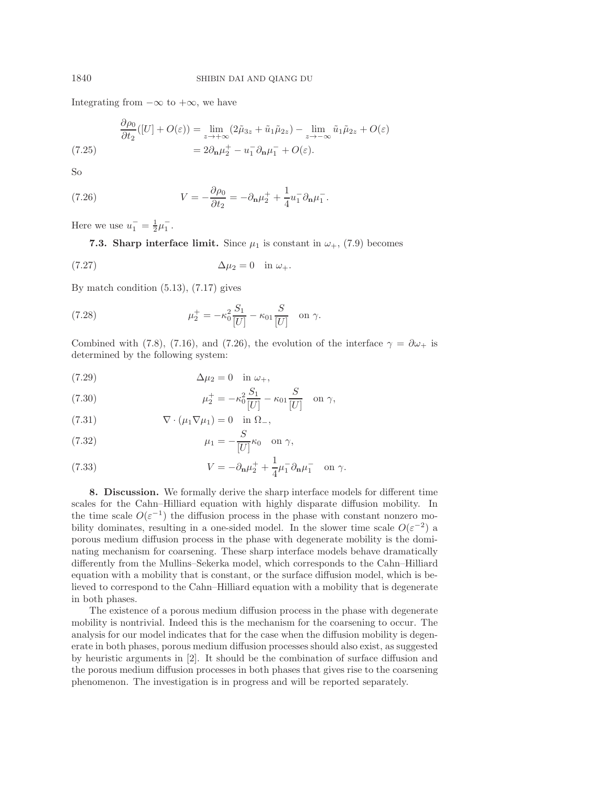Integrating from  $-\infty$  to  $+\infty$ , we have

$$
\frac{\partial \rho_0}{\partial t_2}([U] + O(\varepsilon)) = \lim_{z \to +\infty} (2\tilde{\mu}_{3z} + \tilde{u}_1 \tilde{\mu}_{2z}) - \lim_{z \to -\infty} \tilde{u}_1 \tilde{\mu}_{2z} + O(\varepsilon)
$$
\n
$$
= 2\partial_{\mathbf{n}}\mu_2^+ - u_1^- \partial_{\mathbf{n}}\mu_1^- + O(\varepsilon).
$$
\n(7.25)

So

(7.26) 
$$
V = -\frac{\partial \rho_0}{\partial t_2} = -\partial_{\mathbf{n}} \mu_2^+ + \frac{1}{4} u_1^- \partial_{\mathbf{n}} \mu_1^-.
$$

Here we use  $u_1^- = \frac{1}{2}\mu_1^-$ .

∂ρ<sup>0</sup>

**7.3. Sharp interface limit.** Since  $\mu_1$  is constant in  $\omega_+$ , (7.9) becomes

$$
\Delta \mu_2 = 0 \quad \text{in } \omega_+.
$$

By match condition (5.13), (7.17) gives

(7.28) 
$$
\mu_2^+ = -\kappa_0^2 \frac{S_1}{[U]} - \kappa_{01} \frac{S}{[U]} \text{ on } \gamma.
$$

Combined with (7.8), (7.16), and (7.26), the evolution of the interface  $\gamma = \partial \omega_+$  is determined by the following system:

$$
\Delta \mu_2 = 0 \quad \text{in } \omega_+,
$$

(7.30) 
$$
\mu_2^+ = -\kappa_0^2 \frac{S_1}{[U]} - \kappa_{01} \frac{S}{[U]} \quad \text{on } \gamma,
$$

(7.31) 
$$
\nabla \cdot (\mu_1 \nabla \mu_1) = 0 \text{ in } \Omega_-,
$$

(7.32) 
$$
\mu_1 = -\frac{S}{[U]} \kappa_0 \quad \text{on } \gamma,
$$

(7.33) 
$$
V = -\partial_{\mathbf{n}}\mu_2^+ + \frac{1}{4}\mu_1^- \partial_{\mathbf{n}}\mu_1^- \text{ on } \gamma.
$$

**8. Discussion.** We formally derive the sharp interface models for different time scales for the Cahn–Hilliard equation with highly disparate diffusion mobility. In the time scale  $O(\varepsilon^{-1})$  the diffusion process in the phase with constant nonzero mobility dominates, resulting in a one-sided model. In the slower time scale  $O(\varepsilon^{-2})$  a porous medium diffusion process in the phase with degenerate mobility is the dominating mechanism for coarsening. These sharp interface models behave dramatically differently from the Mullins–Sekerka model, which corresponds to the Cahn–Hilliard equation with a mobility that is constant, or the surface diffusion model, which is believed to correspond to the Cahn–Hilliard equation with a mobility that is degenerate in both phases.

The existence of a porous medium diffusion process in the phase with degenerate mobility is nontrivial. Indeed this is the mechanism for the coarsening to occur. The analysis for our model indicates that for the case when the diffusion mobility is degenerate in both phases, porous medium diffusion processes should also exist, as suggested by heuristic arguments in [2]. It should be the combination of surface diffusion and the porous medium diffusion processes in both phases that gives rise to the coarsening phenomenon. The investigation is in progress and will be reported separately.